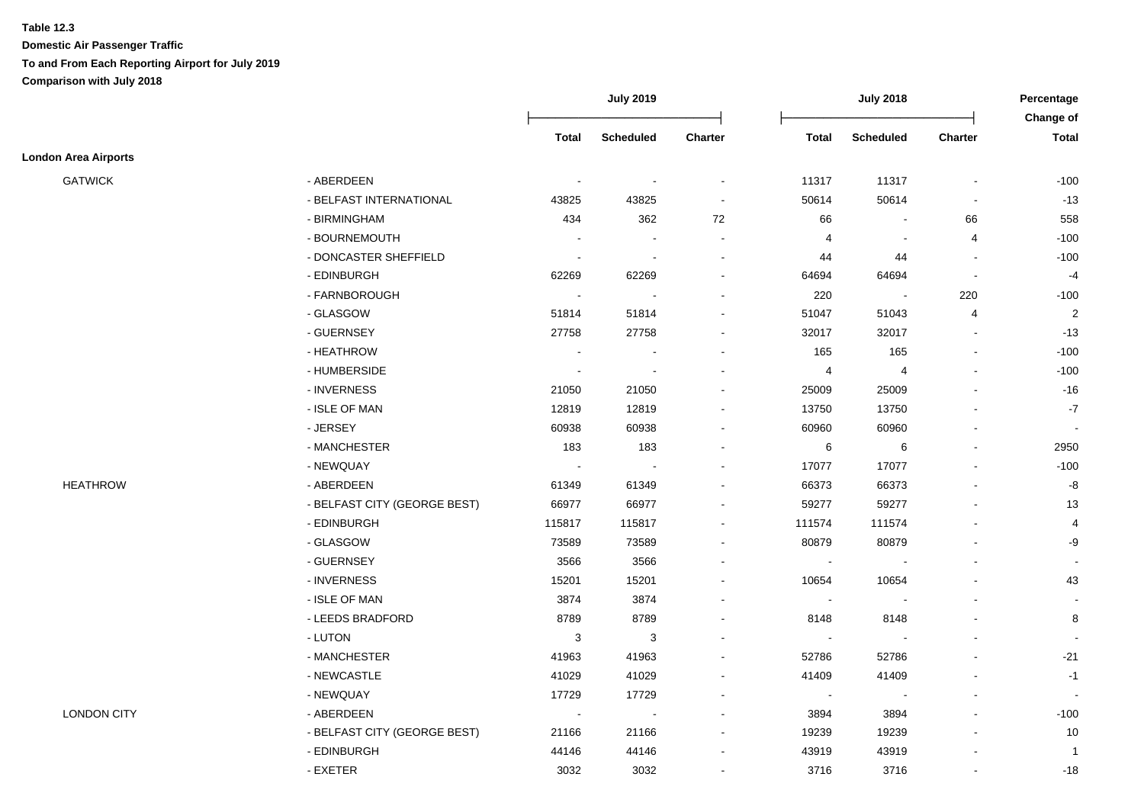### **Table 12.3**

|                             |                              | <b>July 2019</b> |                  | <b>July 2018</b> |                                                    |                          | Percentage               |                           |
|-----------------------------|------------------------------|------------------|------------------|------------------|----------------------------------------------------|--------------------------|--------------------------|---------------------------|
|                             |                              | Total            | <b>Scheduled</b> | <b>Charter</b>   | <b>Total</b><br><b>Scheduled</b><br><b>Charter</b> |                          |                          | Change of<br><b>Total</b> |
| <b>London Area Airports</b> |                              |                  |                  |                  |                                                    |                          |                          |                           |
| <b>GATWICK</b>              | - ABERDEEN                   | $\blacksquare$   |                  |                  | 11317                                              | 11317                    | $\blacksquare$           | $-100$                    |
|                             | - BELFAST INTERNATIONAL      | 43825            | 43825            |                  | 50614                                              | 50614                    | $\blacksquare$           | $-13$                     |
|                             | - BIRMINGHAM                 | 434              | 362              | 72               | 66                                                 |                          | 66                       | 558                       |
|                             | - BOURNEMOUTH                |                  |                  |                  | $\overline{4}$                                     |                          | $\overline{4}$           | $-100$                    |
|                             | - DONCASTER SHEFFIELD        | $\sim$           |                  |                  | 44                                                 | 44                       | $\blacksquare$           | $-100$                    |
|                             | - EDINBURGH                  | 62269            | 62269            |                  | 64694                                              | 64694                    | $\overline{\phantom{a}}$ | $-4$                      |
|                             | - FARNBOROUGH                | $\blacksquare$   |                  |                  | 220                                                | $\sim$                   | 220                      | $-100$                    |
|                             | - GLASGOW                    | 51814            | 51814            |                  | 51047                                              | 51043                    | 4                        | $\overline{2}$            |
|                             | - GUERNSEY                   | 27758            | 27758            |                  | 32017                                              | 32017                    | $\sim$                   | $-13$                     |
|                             | - HEATHROW                   | $\sim$           |                  |                  | 165                                                | 165                      | $\blacksquare$           | $-100$                    |
|                             | - HUMBERSIDE                 | $\sim$           |                  |                  | $\overline{4}$                                     | $\overline{4}$           | $\blacksquare$           | $-100$                    |
|                             | - INVERNESS                  | 21050            | 21050            |                  | 25009                                              | 25009                    |                          | $-16$                     |
|                             | - ISLE OF MAN                | 12819            | 12819            |                  | 13750                                              | 13750                    |                          | $-7$                      |
|                             | - JERSEY                     | 60938            | 60938            |                  | 60960                                              | 60960                    | $\overline{a}$           | $\sim$                    |
|                             | - MANCHESTER                 | 183              | 183              |                  | 6                                                  | 6                        | $\blacksquare$           | 2950                      |
|                             | - NEWQUAY                    | $\mathbf{r}$     |                  |                  | 17077                                              | 17077                    | $\blacksquare$           | $-100$                    |
| <b>HEATHROW</b>             | - ABERDEEN                   | 61349            | 61349            |                  | 66373                                              | 66373                    |                          | -8                        |
|                             | - BELFAST CITY (GEORGE BEST) | 66977            | 66977            |                  | 59277                                              | 59277                    | $\blacksquare$           | 13                        |
|                             | - EDINBURGH                  | 115817           | 115817           | $\sim$           | 111574                                             | 111574                   | $\blacksquare$           | $\overline{4}$            |
|                             | - GLASGOW                    | 73589            | 73589            |                  | 80879                                              | 80879                    | $\blacksquare$           | -9                        |
|                             | - GUERNSEY                   | 3566             | 3566             |                  | $\blacksquare$                                     | $\overline{\phantom{a}}$ |                          |                           |
|                             | - INVERNESS                  | 15201            | 15201            |                  | 10654                                              | 10654                    | $\blacksquare$           | 43                        |
|                             | - ISLE OF MAN                | 3874             | 3874             |                  | $\blacksquare$                                     |                          | $\blacksquare$           |                           |
|                             | - LEEDS BRADFORD             | 8789             | 8789             |                  | 8148                                               | 8148                     |                          | 8                         |
|                             | - LUTON                      | 3                | $\mathbf{3}$     |                  | $\blacksquare$                                     |                          |                          |                           |
|                             | - MANCHESTER                 | 41963            | 41963            |                  | 52786                                              | 52786                    |                          | $-21$                     |
|                             | - NEWCASTLE                  | 41029            | 41029            |                  | 41409                                              | 41409                    |                          | $-1$                      |
|                             | - NEWQUAY                    | 17729            | 17729            |                  | $\sim$                                             |                          | $\sim$                   |                           |
| <b>LONDON CITY</b>          | - ABERDEEN                   | $\blacksquare$   |                  |                  | 3894                                               | 3894                     | $\blacksquare$           | $-100$                    |
|                             | - BELFAST CITY (GEORGE BEST) | 21166            | 21166            |                  | 19239                                              | 19239                    | $\blacksquare$           | 10                        |
|                             | - EDINBURGH                  | 44146            | 44146            |                  | 43919                                              | 43919                    | $\blacksquare$           | $\overline{1}$            |
|                             | - EXETER                     | 3032             | 3032             | $\sim$           | 3716                                               | 3716                     | $\blacksquare$           | $-18$                     |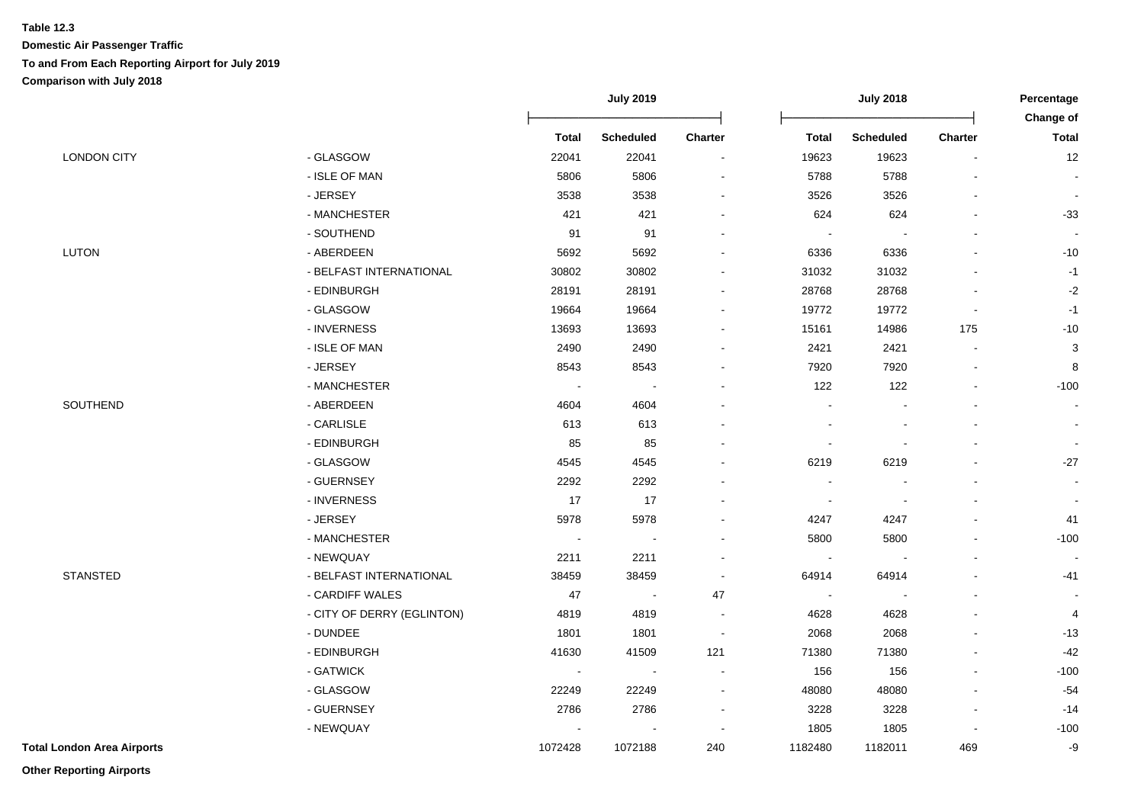|                                   |                            |                | <b>July 2019</b> |                          |                          | <b>July 2018</b> |                          |                          |
|-----------------------------------|----------------------------|----------------|------------------|--------------------------|--------------------------|------------------|--------------------------|--------------------------|
|                                   |                            |                |                  |                          |                          |                  |                          | Change of                |
|                                   |                            | <b>Total</b>   | <b>Scheduled</b> | Charter                  | <b>Total</b>             | <b>Scheduled</b> | <b>Charter</b>           | <b>Total</b>             |
| <b>LONDON CITY</b>                | - GLASGOW                  | 22041          | 22041            | $\blacksquare$           | 19623                    | 19623            |                          | 12                       |
|                                   | - ISLE OF MAN              | 5806           | 5806             | $\blacksquare$           | 5788                     | 5788             |                          | $\blacksquare$           |
|                                   | - JERSEY                   | 3538           | 3538             | $\blacksquare$           | 3526                     | 3526             |                          | $\sim$                   |
|                                   | - MANCHESTER               | 421            | 421              | $\sim$                   | 624                      | 624              | ä,                       | $-33$                    |
|                                   | - SOUTHEND                 | 91             | 91               | $\blacksquare$           | $\blacksquare$           | $\blacksquare$   |                          | $\blacksquare$           |
| <b>LUTON</b>                      | - ABERDEEN                 | 5692           | 5692             | $\blacksquare$           | 6336                     | 6336             |                          | $-10$                    |
|                                   | - BELFAST INTERNATIONAL    | 30802          | 30802            | $\blacksquare$           | 31032                    | 31032            |                          | $-1$                     |
|                                   | - EDINBURGH                | 28191          | 28191            | $\blacksquare$           | 28768                    | 28768            | L,                       | $-2$                     |
|                                   | - GLASGOW                  | 19664          | 19664            | $\overline{\phantom{a}}$ | 19772                    | 19772            | $\blacksquare$           | $-1$                     |
|                                   | - INVERNESS                | 13693          | 13693            | $\blacksquare$           | 15161                    | 14986            | 175                      | $-10$                    |
|                                   | - ISLE OF MAN              | 2490           | 2490             | $\blacksquare$           | 2421                     | 2421             | $\blacksquare$           | 3                        |
|                                   | - JERSEY                   | 8543           | 8543             | $\blacksquare$           | 7920                     | 7920             | $\overline{a}$           | 8                        |
|                                   | - MANCHESTER               | $\sim$         |                  |                          | 122                      | 122              |                          | $-100$                   |
| SOUTHEND                          | - ABERDEEN                 | 4604           | 4604             |                          | $\blacksquare$           |                  |                          | $\sim$                   |
|                                   | - CARLISLE                 | 613            | 613              |                          |                          |                  |                          | $\blacksquare$           |
|                                   | - EDINBURGH                | 85             | 85               |                          | $\overline{\phantom{a}}$ |                  |                          |                          |
|                                   | - GLASGOW                  | 4545           | 4545             |                          | 6219                     | 6219             |                          | $-27$                    |
|                                   | - GUERNSEY                 | 2292           | 2292             |                          | $\blacksquare$           |                  |                          |                          |
|                                   | - INVERNESS                | 17             | 17               | $\blacksquare$           | $\blacksquare$           |                  | ٠                        | $\blacksquare$           |
|                                   | - JERSEY                   | 5978           | 5978             | $\blacksquare$           | 4247                     | 4247             | $\overline{\phantom{0}}$ | 41                       |
|                                   | - MANCHESTER               | $\blacksquare$ |                  | $\blacksquare$           | 5800                     | 5800             |                          | $-100$                   |
|                                   | - NEWQUAY                  | 2211           | 2211             | $\blacksquare$           | $\overline{\phantom{a}}$ |                  | L,                       | $\overline{\phantom{a}}$ |
| <b>STANSTED</b>                   | - BELFAST INTERNATIONAL    | 38459          | 38459            | $\sim$                   | 64914                    | 64914            | ä,                       | $-41$                    |
|                                   | - CARDIFF WALES            | 47             | $\sim$           | 47                       | $\sim$                   |                  | ٠                        | $\blacksquare$           |
|                                   | - CITY OF DERRY (EGLINTON) | 4819           | 4819             | $\sim$                   | 4628                     | 4628             |                          | $\overline{4}$           |
|                                   | - DUNDEE                   | 1801           | 1801             | $\sim$                   | 2068                     | 2068             | $\overline{\phantom{0}}$ | $-13$                    |
|                                   | - EDINBURGH                | 41630          | 41509            | 121                      | 71380                    | 71380            |                          | $-42$                    |
|                                   | - GATWICK                  | $\sim$         | $\sim$           | $\sim$                   | 156                      | 156              |                          | $-100$                   |
|                                   | - GLASGOW                  | 22249          | 22249            | $\sim$                   | 48080                    | 48080            |                          | $-54$                    |
|                                   | - GUERNSEY                 | 2786           | 2786             | $\blacksquare$           | 3228                     | 3228             | L,                       | $-14$                    |
|                                   | - NEWQUAY                  |                |                  | $\sim$                   | 1805                     | 1805             |                          | $-100$                   |
| <b>Total London Area Airports</b> |                            | 1072428        | 1072188          | 240                      | 1182480                  | 1182011          | 469                      | -9                       |

**Other Reporting Airports**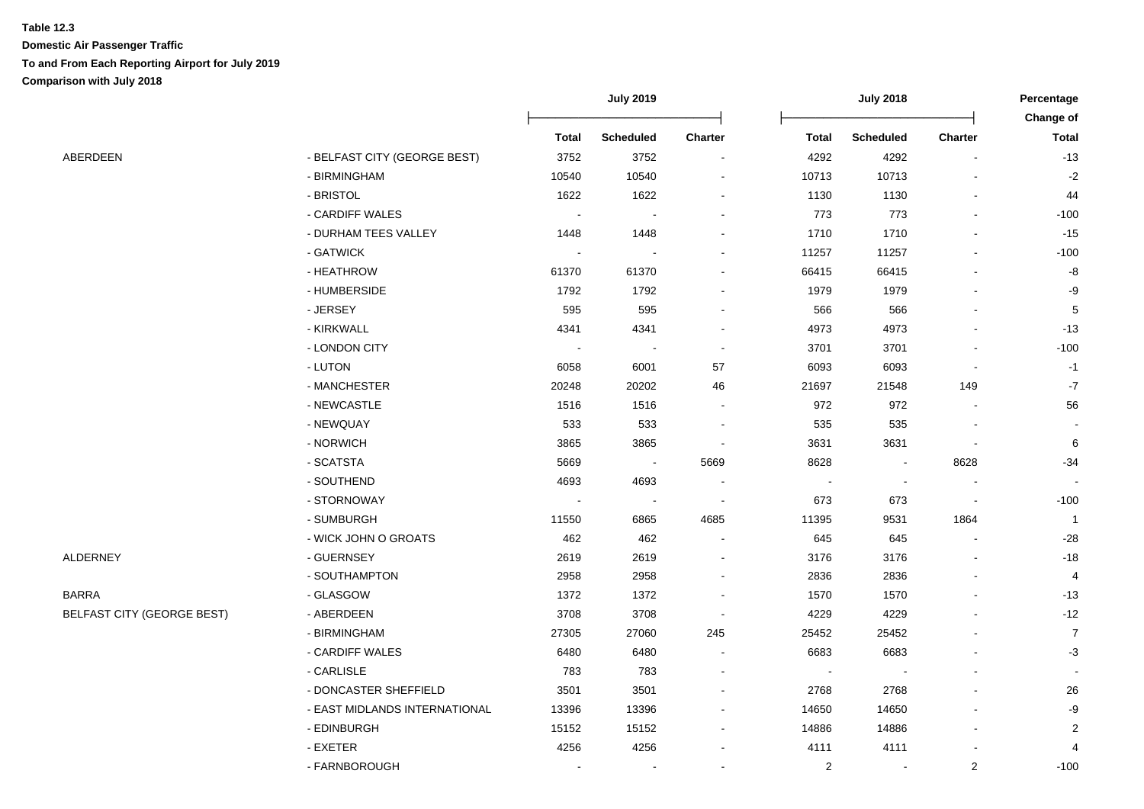|                                   |                               | <b>July 2019</b> |                  | <b>July 2018</b>         |                |                          | Percentage<br>Change of |                |
|-----------------------------------|-------------------------------|------------------|------------------|--------------------------|----------------|--------------------------|-------------------------|----------------|
|                                   |                               | <b>Total</b>     | <b>Scheduled</b> | <b>Charter</b>           | <b>Total</b>   | <b>Scheduled</b>         | Charter                 | <b>Total</b>   |
| ABERDEEN                          | - BELFAST CITY (GEORGE BEST)  | 3752             | 3752             | $\blacksquare$           | 4292           | 4292                     |                         | $-13$          |
|                                   | - BIRMINGHAM                  | 10540            | 10540            |                          | 10713          | 10713                    |                         | $-2$           |
|                                   | - BRISTOL                     | 1622             | 1622             | $\overline{\phantom{a}}$ | 1130           | 1130                     |                         | 44             |
|                                   | - CARDIFF WALES               | $\sim$           |                  |                          | 773            | 773                      |                         | $-100$         |
|                                   | - DURHAM TEES VALLEY          | 1448             | 1448             |                          | 1710           | 1710                     |                         | $-15$          |
|                                   | - GATWICK                     |                  |                  |                          | 11257          | 11257                    |                         | $-100$         |
|                                   | - HEATHROW                    | 61370            | 61370            | $\blacksquare$           | 66415          | 66415                    |                         | -8             |
|                                   | - HUMBERSIDE                  | 1792             | 1792             | $\overline{a}$           | 1979           | 1979                     |                         | -9             |
|                                   | - JERSEY                      | 595              | 595              | $\overline{a}$           | 566            | 566                      |                         | 5              |
|                                   | - KIRKWALL                    | 4341             | 4341             | $\blacksquare$           | 4973           | 4973                     |                         | $-13$          |
|                                   | - LONDON CITY                 | $\sim$           | $\sim$           | $\sim$                   | 3701           | 3701                     |                         | $-100$         |
|                                   | - LUTON                       | 6058             | 6001             | 57                       | 6093           | 6093                     |                         | $-1$           |
|                                   | - MANCHESTER                  | 20248            | 20202            | 46                       | 21697          | 21548                    | 149                     | $-7$           |
|                                   | - NEWCASTLE                   | 1516             | 1516             |                          | 972            | 972                      |                         | 56             |
|                                   | - NEWQUAY                     | 533              | 533              |                          | 535            | 535                      |                         |                |
|                                   | - NORWICH                     | 3865             | 3865             |                          | 3631           | 3631                     |                         | $\,6$          |
|                                   | - SCATSTA                     | 5669             | $\sim$           | 5669                     | 8628           |                          | 8628                    | $-34$          |
|                                   | - SOUTHEND                    | 4693             | 4693             |                          |                | $\overline{\phantom{a}}$ |                         |                |
|                                   | - STORNOWAY                   |                  | $\sim$           | $\overline{\phantom{a}}$ | 673            | 673                      | $\blacksquare$          | $-100$         |
|                                   | - SUMBURGH                    | 11550            | 6865             | 4685                     | 11395          | 9531                     | 1864                    | $\overline{1}$ |
|                                   | - WICK JOHN O GROATS          | 462              | 462              |                          | 645            | 645                      |                         | $-28$          |
| ALDERNEY                          | - GUERNSEY                    | 2619             | 2619             |                          | 3176           | 3176                     |                         | $-18$          |
|                                   | - SOUTHAMPTON                 | 2958             | 2958             | $\overline{\phantom{a}}$ | 2836           | 2836                     |                         | 4              |
| BARRA                             | - GLASGOW                     | 1372             | 1372             | $\blacksquare$           | 1570           | 1570                     |                         | $-13$          |
| <b>BELFAST CITY (GEORGE BEST)</b> | - ABERDEEN                    | 3708             | 3708             | $\sim$                   | 4229           | 4229                     |                         | $-12$          |
|                                   | - BIRMINGHAM                  | 27305            | 27060            | 245                      | 25452          | 25452                    |                         | $\overline{7}$ |
|                                   | - CARDIFF WALES               | 6480             | 6480             |                          | 6683           | 6683                     |                         | $-3$           |
|                                   | - CARLISLE                    | 783              | 783              |                          |                |                          |                         |                |
|                                   | - DONCASTER SHEFFIELD         | 3501             | 3501             |                          | 2768           | 2768                     |                         | 26             |
|                                   | - EAST MIDLANDS INTERNATIONAL | 13396            | 13396            |                          | 14650          | 14650                    |                         | -9             |
|                                   | - EDINBURGH                   | 15152            | 15152            |                          | 14886          | 14886                    |                         | $\sqrt{2}$     |
|                                   | - EXETER                      | 4256             | 4256             |                          | 4111           | 4111                     |                         | 4              |
|                                   | - FARNBOROUGH                 |                  | $\overline{a}$   | $\overline{a}$           | $\overline{2}$ | $\sim$                   | $\overline{2}$          | $-100$         |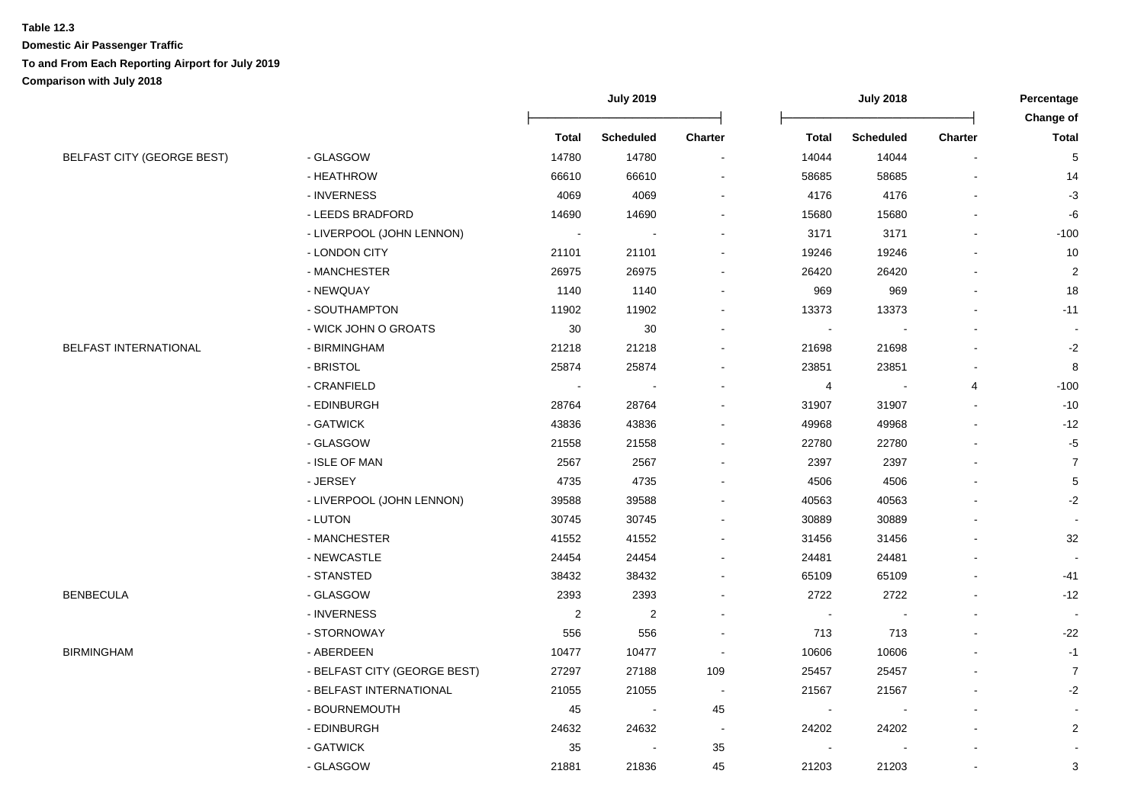|                                   |                              | <b>July 2019</b>        |                  | <b>July 2018</b>         |                          |                          | Percentage<br>Change of  |                  |
|-----------------------------------|------------------------------|-------------------------|------------------|--------------------------|--------------------------|--------------------------|--------------------------|------------------|
|                                   |                              | <b>Total</b>            | <b>Scheduled</b> | <b>Charter</b>           | <b>Total</b>             | <b>Scheduled</b>         | <b>Charter</b>           | <b>Total</b>     |
| <b>BELFAST CITY (GEORGE BEST)</b> | - GLASGOW                    | 14780                   | 14780            | $\blacksquare$           | 14044                    | 14044                    | $\overline{\phantom{a}}$ | $\,$ 5 $\,$      |
|                                   | - HEATHROW                   | 66610                   | 66610            | $\overline{\phantom{a}}$ | 58685                    | 58685                    |                          | 14               |
|                                   | - INVERNESS                  | 4069                    | 4069             | $\blacksquare$           | 4176                     | 4176                     |                          | $-3$             |
|                                   | - LEEDS BRADFORD             | 14690                   | 14690            | $\overline{a}$           | 15680                    | 15680                    |                          | $-6$             |
|                                   | - LIVERPOOL (JOHN LENNON)    |                         |                  | $\overline{a}$           | 3171                     | 3171                     |                          | $-100$           |
|                                   | - LONDON CITY                | 21101                   | 21101            | $\blacksquare$           | 19246                    | 19246                    |                          | 10               |
|                                   | - MANCHESTER                 | 26975                   | 26975            | $\blacksquare$           | 26420                    | 26420                    |                          | $\overline{c}$   |
|                                   | - NEWQUAY                    | 1140                    | 1140             | $\blacksquare$           | 969                      | 969                      |                          | 18               |
|                                   | - SOUTHAMPTON                | 11902                   | 11902            | $\blacksquare$           | 13373                    | 13373                    |                          | $-11$            |
|                                   | - WICK JOHN O GROATS         | 30                      | 30               | $\sim$                   | $\sim$                   |                          |                          |                  |
| BELFAST INTERNATIONAL             | - BIRMINGHAM                 | 21218                   | 21218            | $\blacksquare$           | 21698                    | 21698                    |                          | $-2$             |
|                                   | - BRISTOL                    | 25874                   | 25874            | $\blacksquare$           | 23851                    | 23851                    |                          | 8                |
|                                   | - CRANFIELD                  |                         | $\sim$           | $\overline{\phantom{a}}$ | 4                        | $\overline{\phantom{a}}$ | $\overline{4}$           | $-100$           |
|                                   | - EDINBURGH                  | 28764                   | 28764            | ÷,                       | 31907                    | 31907                    |                          | $-10$            |
|                                   | - GATWICK                    | 43836                   | 43836            | ÷,                       | 49968                    | 49968                    |                          | $-12$            |
|                                   | - GLASGOW                    | 21558                   | 21558            | $\blacksquare$           | 22780                    | 22780                    |                          | $-5$             |
|                                   | - ISLE OF MAN                | 2567                    | 2567             |                          | 2397                     | 2397                     |                          | $\overline{7}$   |
|                                   | - JERSEY                     | 4735                    | 4735             | $\overline{\phantom{a}}$ | 4506                     | 4506                     |                          | $\sqrt{5}$       |
|                                   | - LIVERPOOL (JOHN LENNON)    | 39588                   | 39588            | $\overline{\phantom{a}}$ | 40563                    | 40563                    |                          | $-2$             |
|                                   | - LUTON                      | 30745                   | 30745            | $\blacksquare$           | 30889                    | 30889                    |                          |                  |
|                                   | - MANCHESTER                 | 41552                   | 41552            | $\blacksquare$           | 31456                    | 31456                    |                          | 32               |
|                                   | - NEWCASTLE                  | 24454                   | 24454            | $\blacksquare$           | 24481                    | 24481                    |                          |                  |
|                                   | - STANSTED                   | 38432                   | 38432            | $\blacksquare$           | 65109                    | 65109                    |                          | -41              |
| <b>BENBECULA</b>                  | - GLASGOW                    | 2393                    | 2393             | $\blacksquare$           | 2722                     | 2722                     |                          | $-12$            |
|                                   | - INVERNESS                  | $\overline{\mathbf{c}}$ | $\overline{c}$   | $\overline{\phantom{a}}$ |                          |                          |                          |                  |
|                                   | - STORNOWAY                  | 556                     | 556              | $\overline{\phantom{a}}$ | 713                      | 713                      |                          | $-22$            |
| <b>BIRMINGHAM</b>                 | - ABERDEEN                   | 10477                   | 10477            | $\sim$                   | 10606                    | 10606                    |                          | $-1$             |
|                                   | - BELFAST CITY (GEORGE BEST) | 27297                   | 27188            | 109                      | 25457                    | 25457                    |                          | $\boldsymbol{7}$ |
|                                   | - BELFAST INTERNATIONAL      | 21055                   | 21055            | $\sim$                   | 21567                    | 21567                    |                          | $-2$             |
|                                   | - BOURNEMOUTH                | 45                      | $\blacksquare$   | 45                       | $\overline{\phantom{a}}$ |                          |                          |                  |
|                                   | - EDINBURGH                  | 24632                   | 24632            | $\blacksquare$           | 24202                    | 24202                    |                          | $\overline{c}$   |
|                                   | - GATWICK                    | 35                      |                  | 35                       |                          |                          |                          | $\blacksquare$   |
|                                   | - GLASGOW                    | 21881                   | 21836            | 45                       | 21203                    | 21203                    | $\blacksquare$           | 3                |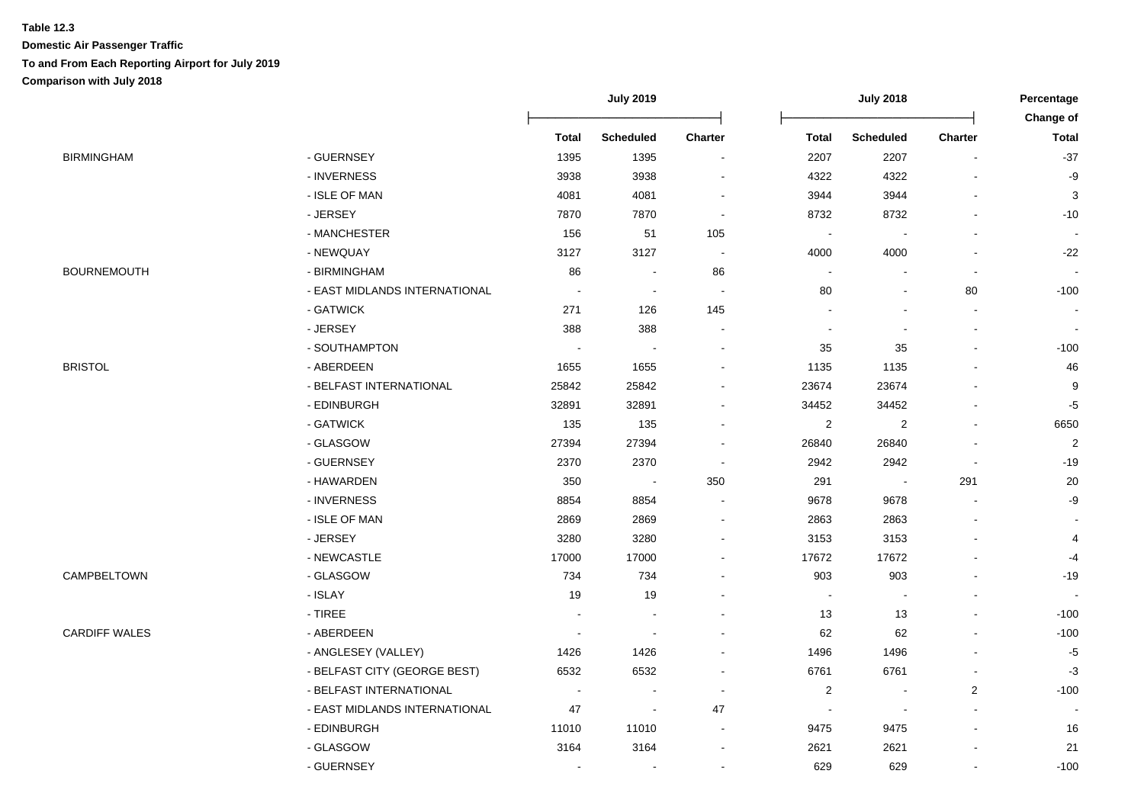|                      |                               | <b>July 2019</b>         |                          | <b>July 2018</b>         |                          |                          | Percentage               |                           |
|----------------------|-------------------------------|--------------------------|--------------------------|--------------------------|--------------------------|--------------------------|--------------------------|---------------------------|
|                      |                               | <b>Total</b>             | Scheduled                | Charter                  | <b>Total</b>             | Scheduled                | Charter                  | Change of<br><b>Total</b> |
| BIRMINGHAM           | - GUERNSEY                    | 1395                     | 1395                     | $\overline{\phantom{a}}$ | 2207                     | 2207                     | $\blacksquare$           | $-37$                     |
|                      | - INVERNESS                   | 3938                     | 3938                     |                          | 4322                     | 4322                     |                          | -9                        |
|                      | - ISLE OF MAN                 | 4081                     | 4081                     |                          | 3944                     | 3944                     |                          | 3                         |
|                      | - JERSEY                      | 7870                     | 7870                     |                          | 8732                     | 8732                     |                          | $-10$                     |
|                      | - MANCHESTER                  | 156                      | 51                       | 105                      |                          |                          |                          |                           |
|                      | - NEWQUAY                     | 3127                     | 3127                     |                          | 4000                     | 4000                     |                          | $-22$                     |
| <b>BOURNEMOUTH</b>   | - BIRMINGHAM                  | 86                       |                          | 86                       | $\overline{\phantom{a}}$ |                          |                          |                           |
|                      | - EAST MIDLANDS INTERNATIONAL | ÷,                       | $\sim$                   |                          | 80                       | $\blacksquare$           | 80                       | $-100$                    |
|                      | - GATWICK                     | 271                      | 126                      | 145                      |                          |                          | $\overline{\phantom{a}}$ |                           |
|                      | - JERSEY                      | 388                      | 388                      |                          |                          | $\overline{\phantom{a}}$ | $\blacksquare$           |                           |
|                      | - SOUTHAMPTON                 | $\sim$                   | $\blacksquare$           | $\overline{a}$           | 35                       | 35                       | $\blacksquare$           | $-100$                    |
| BRISTOL              | - ABERDEEN                    | 1655                     | 1655                     |                          | 1135                     | 1135                     | $\overline{a}$           | 46                        |
|                      | - BELFAST INTERNATIONAL       | 25842                    | 25842                    |                          | 23674                    | 23674                    |                          | 9                         |
|                      | - EDINBURGH                   | 32891                    | 32891                    |                          | 34452                    | 34452                    |                          | $-5$                      |
|                      | - GATWICK                     | 135                      | 135                      |                          | $\sqrt{2}$               | $\sqrt{2}$               |                          | 6650                      |
|                      | - GLASGOW                     | 27394                    | 27394                    |                          | 26840                    | 26840                    |                          | $\overline{2}$            |
|                      | - GUERNSEY                    | 2370                     | 2370                     |                          | 2942                     | 2942                     |                          | $-19$                     |
|                      | - HAWARDEN                    | 350                      | $\overline{\phantom{a}}$ | 350                      | 291                      | $\overline{\phantom{a}}$ | 291                      | $20\,$                    |
|                      | - INVERNESS                   | 8854                     | 8854                     |                          | 9678                     | 9678                     |                          | $-9$                      |
|                      | - ISLE OF MAN                 | 2869                     | 2869                     |                          | 2863                     | 2863                     |                          |                           |
|                      | - JERSEY                      | 3280                     | 3280                     |                          | 3153                     | 3153                     |                          | $\overline{4}$            |
|                      | - NEWCASTLE                   | 17000                    | 17000                    |                          | 17672                    | 17672                    |                          | $-4$                      |
| CAMPBELTOWN          | - GLASGOW                     | 734                      | 734                      |                          | 903                      | 903                      |                          | $-19$                     |
|                      | - ISLAY                       | 19                       | 19                       |                          | $\blacksquare$           | $\blacksquare$           |                          | $\sim$                    |
|                      | $-$ TIREE                     | $\blacksquare$           |                          |                          | 13                       | 13                       |                          | $-100$                    |
| <b>CARDIFF WALES</b> | - ABERDEEN                    | ÷,                       |                          |                          | 62                       | 62                       |                          | $-100$                    |
|                      | - ANGLESEY (VALLEY)           | 1426                     | 1426                     |                          | 1496                     | 1496                     |                          | $-5$                      |
|                      | - BELFAST CITY (GEORGE BEST)  | 6532                     | 6532                     |                          | 6761                     | 6761                     |                          | $-3$                      |
|                      | - BELFAST INTERNATIONAL       | $\overline{\phantom{a}}$ |                          |                          | $\overline{c}$           | $\overline{\phantom{a}}$ | $\sqrt{2}$               | $-100$                    |
|                      | - EAST MIDLANDS INTERNATIONAL | 47                       | $\blacksquare$           | 47                       |                          | $\overline{\phantom{a}}$ |                          |                           |
|                      | - EDINBURGH                   | 11010                    | 11010                    | $\sim$                   | 9475                     | 9475                     |                          | 16                        |
|                      | - GLASGOW                     | 3164                     | 3164                     |                          | 2621                     | 2621                     |                          | 21                        |
|                      | - GUERNSEY                    |                          |                          |                          | 629                      | 629                      | $\overline{a}$           | $-100$                    |
|                      |                               |                          |                          |                          |                          |                          |                          |                           |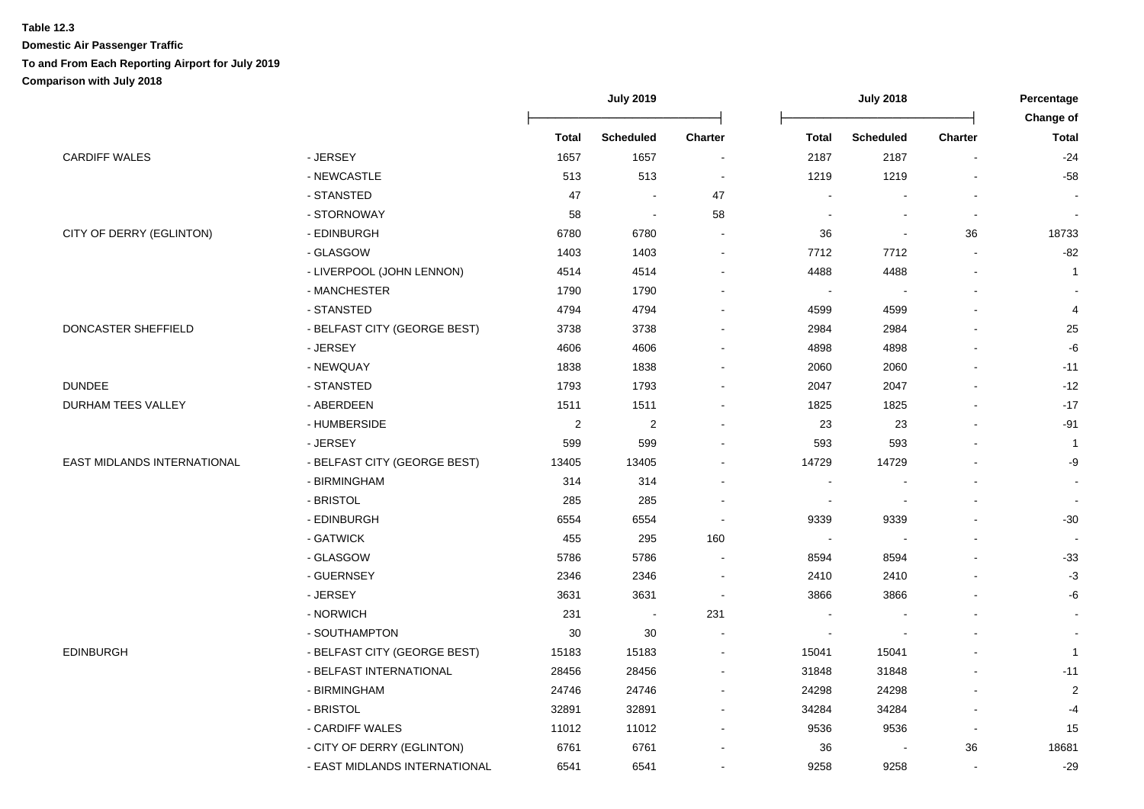|                             |                               | <b>July 2019</b>        |                         | <b>July 2018</b>         |              |                  | Percentage<br>Change of |                |
|-----------------------------|-------------------------------|-------------------------|-------------------------|--------------------------|--------------|------------------|-------------------------|----------------|
|                             |                               | <b>Total</b>            | <b>Scheduled</b>        | <b>Charter</b>           | <b>Total</b> | <b>Scheduled</b> | <b>Charter</b>          | <b>Total</b>   |
| <b>CARDIFF WALES</b>        | - JERSEY                      | 1657                    | 1657                    | $\overline{\phantom{a}}$ | 2187         | 2187             | $\blacksquare$          | $-24$          |
|                             | - NEWCASTLE                   | 513                     | 513                     | $\overline{\phantom{a}}$ | 1219         | 1219             |                         | $-58$          |
|                             | - STANSTED                    | 47                      |                         | 47                       |              |                  |                         |                |
|                             | - STORNOWAY                   | 58                      |                         | 58                       |              |                  |                         |                |
| CITY OF DERRY (EGLINTON)    | - EDINBURGH                   | 6780                    | 6780                    |                          | 36           |                  | 36                      | 18733          |
|                             | - GLASGOW                     | 1403                    | 1403                    |                          | 7712         | 7712             |                         | $-82$          |
|                             | - LIVERPOOL (JOHN LENNON)     | 4514                    | 4514                    |                          | 4488         | 4488             |                         | $\mathbf{1}$   |
|                             | - MANCHESTER                  | 1790                    | 1790                    |                          |              |                  |                         |                |
|                             | - STANSTED                    | 4794                    | 4794                    |                          | 4599         | 4599             |                         | 4              |
| DONCASTER SHEFFIELD         | - BELFAST CITY (GEORGE BEST)  | 3738                    | 3738                    |                          | 2984         | 2984             |                         | 25             |
|                             | - JERSEY                      | 4606                    | 4606                    |                          | 4898         | 4898             |                         | -6             |
|                             | - NEWQUAY                     | 1838                    | 1838                    |                          | 2060         | 2060             |                         | $-11$          |
| DUNDEE                      | - STANSTED                    | 1793                    | 1793                    |                          | 2047         | 2047             |                         | $-12$          |
| DURHAM TEES VALLEY          | - ABERDEEN                    | 1511                    | 1511                    |                          | 1825         | 1825             |                         | $-17$          |
|                             | - HUMBERSIDE                  | $\overline{\mathbf{c}}$ | $\overline{\mathbf{c}}$ |                          | 23           | 23               |                         | $-91$          |
|                             | - JERSEY                      | 599                     | 599                     |                          | 593          | 593              |                         | $\mathbf{1}$   |
| EAST MIDLANDS INTERNATIONAL | - BELFAST CITY (GEORGE BEST)  | 13405                   | 13405                   |                          | 14729        | 14729            |                         | -9             |
|                             | - BIRMINGHAM                  | 314                     | 314                     |                          |              |                  |                         |                |
|                             | - BRISTOL                     | 285                     | 285                     |                          |              |                  |                         |                |
|                             | - EDINBURGH                   | 6554                    | 6554                    |                          | 9339         | 9339             |                         | $-30$          |
|                             | - GATWICK                     | 455                     | 295                     | 160                      |              |                  |                         |                |
|                             | - GLASGOW                     | 5786                    | 5786                    |                          | 8594         | 8594             |                         | $-33$          |
|                             | - GUERNSEY                    | 2346                    | 2346                    |                          | 2410         | 2410             |                         | $-3$           |
|                             | - JERSEY                      | 3631                    | 3631                    |                          | 3866         | 3866             |                         | -6             |
|                             | - NORWICH                     | 231                     |                         | 231                      |              |                  |                         |                |
|                             | - SOUTHAMPTON                 | $30\,$                  | $30\,$                  |                          |              |                  |                         |                |
| EDINBURGH                   | - BELFAST CITY (GEORGE BEST)  | 15183                   | 15183                   |                          | 15041        | 15041            |                         | $\mathbf{1}$   |
|                             | - BELFAST INTERNATIONAL       | 28456                   | 28456                   |                          | 31848        | 31848            |                         | $-11$          |
|                             | - BIRMINGHAM                  | 24746                   | 24746                   |                          | 24298        | 24298            |                         | $\overline{2}$ |
|                             | - BRISTOL                     | 32891                   | 32891                   |                          | 34284        | 34284            |                         | $-4$           |
|                             | - CARDIFF WALES               | 11012                   | 11012                   |                          | 9536         | 9536             | $\overline{a}$          | 15             |
|                             | - CITY OF DERRY (EGLINTON)    | 6761                    | 6761                    |                          | 36           |                  | 36                      | 18681          |
|                             | - EAST MIDLANDS INTERNATIONAL | 6541                    | 6541                    |                          | 9258         | 9258             |                         | $-29$          |
|                             |                               |                         |                         |                          |              |                  |                         |                |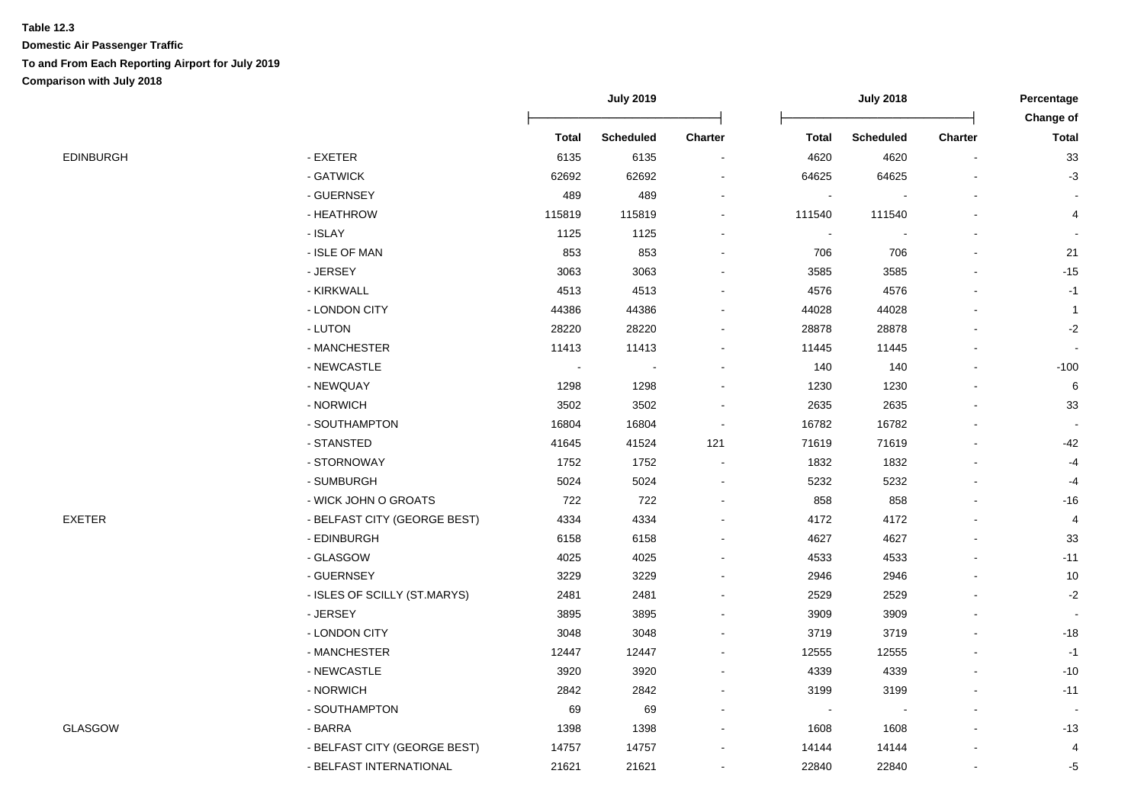|           |                              | <b>July 2019</b>         |                  | <b>July 2018</b>         |                |                  | Percentage<br>Change of |                |
|-----------|------------------------------|--------------------------|------------------|--------------------------|----------------|------------------|-------------------------|----------------|
|           |                              | <b>Total</b>             | <b>Scheduled</b> | <b>Charter</b>           | <b>Total</b>   | <b>Scheduled</b> | <b>Charter</b>          | <b>Total</b>   |
| EDINBURGH | - EXETER                     | 6135                     | 6135             | $\overline{\phantom{a}}$ | 4620           | 4620             |                         | $33\,$         |
|           | - GATWICK                    | 62692                    | 62692            |                          | 64625          | 64625            |                         | $-3$           |
|           | - GUERNSEY                   | 489                      | 489              | $\overline{a}$           |                |                  |                         |                |
|           | - HEATHROW                   | 115819                   | 115819           |                          | 111540         | 111540           |                         | 4              |
|           | - ISLAY                      | 1125                     | 1125             |                          | $\blacksquare$ |                  |                         |                |
|           | - ISLE OF MAN                | 853                      | 853              |                          | 706            | 706              |                         | 21             |
|           | - JERSEY                     | 3063                     | 3063             |                          | 3585           | 3585             |                         | $-15$          |
|           | - KIRKWALL                   | 4513                     | 4513             |                          | 4576           | 4576             |                         | $-1$           |
|           | - LONDON CITY                | 44386                    | 44386            | $\overline{\phantom{a}}$ | 44028          | 44028            |                         | $\overline{1}$ |
|           | - LUTON                      | 28220                    | 28220            |                          | 28878          | 28878            |                         | $-2$           |
|           | - MANCHESTER                 | 11413                    | 11413            |                          | 11445          | 11445            |                         |                |
|           | - NEWCASTLE                  | $\overline{\phantom{a}}$ |                  |                          | 140            | 140              |                         | $-100$         |
|           | - NEWQUAY                    | 1298                     | 1298             |                          | 1230           | 1230             |                         | 6              |
|           | - NORWICH                    | 3502                     | 3502             |                          | 2635           | 2635             |                         | 33             |
|           | - SOUTHAMPTON                | 16804                    | 16804            |                          | 16782          | 16782            |                         |                |
|           | - STANSTED                   | 41645                    | 41524            | 121                      | 71619          | 71619            |                         | $-42$          |
|           | - STORNOWAY                  | 1752                     | 1752             |                          | 1832           | 1832             |                         | $-4$           |
|           | - SUMBURGH                   | 5024                     | 5024             |                          | 5232           | 5232             |                         | $-4$           |
|           | - WICK JOHN O GROATS         | 722                      | 722              |                          | 858            | 858              |                         | $-16$          |
| EXETER    | - BELFAST CITY (GEORGE BEST) | 4334                     | 4334             |                          | 4172           | 4172             |                         | 4              |
|           | - EDINBURGH                  | 6158                     | 6158             |                          | 4627           | 4627             |                         | 33             |
|           | - GLASGOW                    | 4025                     | 4025             |                          | 4533           | 4533             |                         | $-11$          |
|           | - GUERNSEY                   | 3229                     | 3229             |                          | 2946           | 2946             |                         | $10$           |
|           | - ISLES OF SCILLY (ST.MARYS) | 2481                     | 2481             |                          | 2529           | 2529             |                         | $-2$           |
|           | - JERSEY                     | 3895                     | 3895             |                          | 3909           | 3909             |                         |                |
|           | - LONDON CITY                | 3048                     | 3048             |                          | 3719           | 3719             |                         | $-18$          |
|           | - MANCHESTER                 | 12447                    | 12447            |                          | 12555          | 12555            |                         | $-1$           |
|           | - NEWCASTLE                  | 3920                     | 3920             | $\blacksquare$           | 4339           | 4339             |                         | $-10$          |
|           | - NORWICH                    | 2842                     | 2842             |                          | 3199           | 3199             |                         | $-11$          |
|           | - SOUTHAMPTON                | 69                       | 69               | $\blacksquare$           | $\blacksquare$ | $\blacksquare$   |                         |                |
| GLASGOW   | - BARRA                      | 1398                     | 1398             |                          | 1608           | 1608             |                         | $-13$          |
|           | - BELFAST CITY (GEORGE BEST) | 14757                    | 14757            |                          | 14144          | 14144            |                         | 4              |
|           | - BELFAST INTERNATIONAL      | 21621                    | 21621            |                          | 22840          | 22840            |                         | -5             |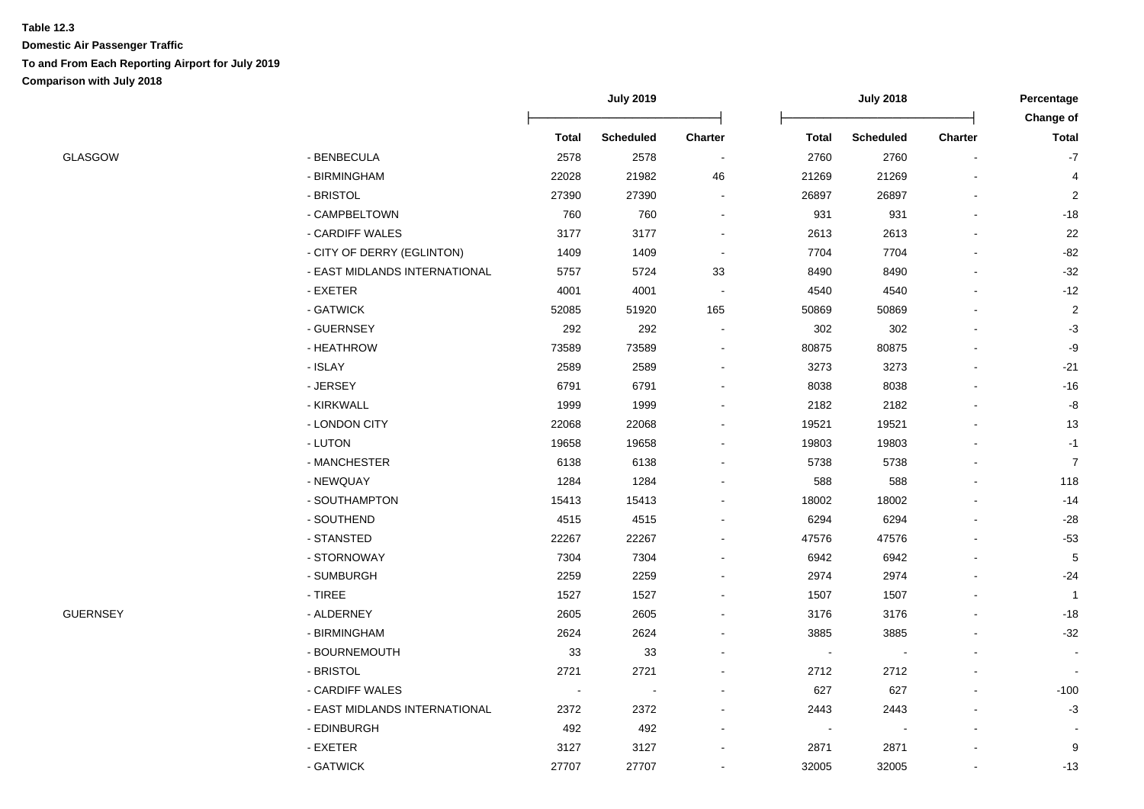|                 |                               |              | <b>July 2019</b> |                          | <b>July 2018</b> |                  |                | Percentage<br>Change of |
|-----------------|-------------------------------|--------------|------------------|--------------------------|------------------|------------------|----------------|-------------------------|
|                 |                               | <b>Total</b> | <b>Scheduled</b> | Charter                  | <b>Total</b>     | <b>Scheduled</b> | <b>Charter</b> | <b>Total</b>            |
| <b>GLASGOW</b>  | - BENBECULA                   | 2578         | 2578             | $\overline{\phantom{a}}$ | 2760             | 2760             |                | $-7$                    |
|                 | - BIRMINGHAM                  | 22028        | 21982            | 46                       | 21269            | 21269            |                | 4                       |
|                 | - BRISTOL                     | 27390        | 27390            | $\sim$                   | 26897            | 26897            |                | $\overline{2}$          |
|                 | - CAMPBELTOWN                 | 760          | 760              | $\sim$                   | 931              | 931              |                | $-18$                   |
|                 | - CARDIFF WALES               | 3177         | 3177             |                          | 2613             | 2613             |                | 22                      |
|                 | - CITY OF DERRY (EGLINTON)    | 1409         | 1409             |                          | 7704             | 7704             |                | $-82$                   |
|                 | - EAST MIDLANDS INTERNATIONAL | 5757         | 5724             | 33                       | 8490             | 8490             |                | $-32$                   |
|                 | - EXETER                      | 4001         | 4001             | $\sim$                   | 4540             | 4540             |                | $-12$                   |
|                 | - GATWICK                     | 52085        | 51920            | 165                      | 50869            | 50869            |                | $\overline{\mathbf{c}}$ |
|                 | - GUERNSEY                    | 292          | 292              | $\sim$                   | 302              | 302              |                | $-3$                    |
|                 | - HEATHROW                    | 73589        | 73589            | $\sim$                   | 80875            | 80875            |                | $-9$                    |
|                 | - ISLAY                       | 2589         | 2589             | $\blacksquare$           | 3273             | 3273             |                | $-21$                   |
|                 | - JERSEY                      | 6791         | 6791             | $\sim$                   | 8038             | 8038             |                | $-16$                   |
|                 | - KIRKWALL                    | 1999         | 1999             |                          | 2182             | 2182             |                | -8                      |
|                 | - LONDON CITY                 | 22068        | 22068            |                          | 19521            | 19521            |                | 13                      |
|                 | - LUTON                       | 19658        | 19658            |                          | 19803            | 19803            |                | $-1$                    |
|                 | - MANCHESTER                  | 6138         | 6138             |                          | 5738             | 5738             |                | $\overline{7}$          |
|                 | - NEWQUAY                     | 1284         | 1284             |                          | 588              | 588              |                | 118                     |
|                 | - SOUTHAMPTON                 | 15413        | 15413            |                          | 18002            | 18002            |                | $-14$                   |
|                 | - SOUTHEND                    | 4515         | 4515             |                          | 6294             | 6294             |                | $-28$                   |
|                 | - STANSTED                    | 22267        | 22267            |                          | 47576            | 47576            |                | $-53$                   |
|                 | - STORNOWAY                   | 7304         | 7304             |                          | 6942             | 6942             |                | 5                       |
|                 | - SUMBURGH                    | 2259         | 2259             |                          | 2974             | 2974             |                | $-24$                   |
|                 | - TIREE                       | 1527         | 1527             |                          | 1507             | 1507             |                | $\overline{1}$          |
| <b>GUERNSEY</b> | - ALDERNEY                    | 2605         | 2605             |                          | 3176             | 3176             |                | $-18$                   |
|                 | - BIRMINGHAM                  | 2624         | 2624             |                          | 3885             | 3885             |                | $-32$                   |
|                 | - BOURNEMOUTH                 | 33           | 33               |                          |                  |                  |                |                         |
|                 | - BRISTOL                     | 2721         | 2721             |                          | 2712             | 2712             |                |                         |
|                 | - CARDIFF WALES               |              |                  |                          | 627              | 627              |                | $-100$                  |
|                 | - EAST MIDLANDS INTERNATIONAL | 2372         | 2372             |                          | 2443             | 2443             |                | $-3$                    |
|                 | - EDINBURGH                   | 492          | 492              |                          |                  |                  |                |                         |
|                 | - EXETER                      | 3127         | 3127             |                          | 2871             | 2871             |                | 9                       |
|                 | - GATWICK                     | 27707        | 27707            | ۰                        | 32005            | 32005            |                | $-13$                   |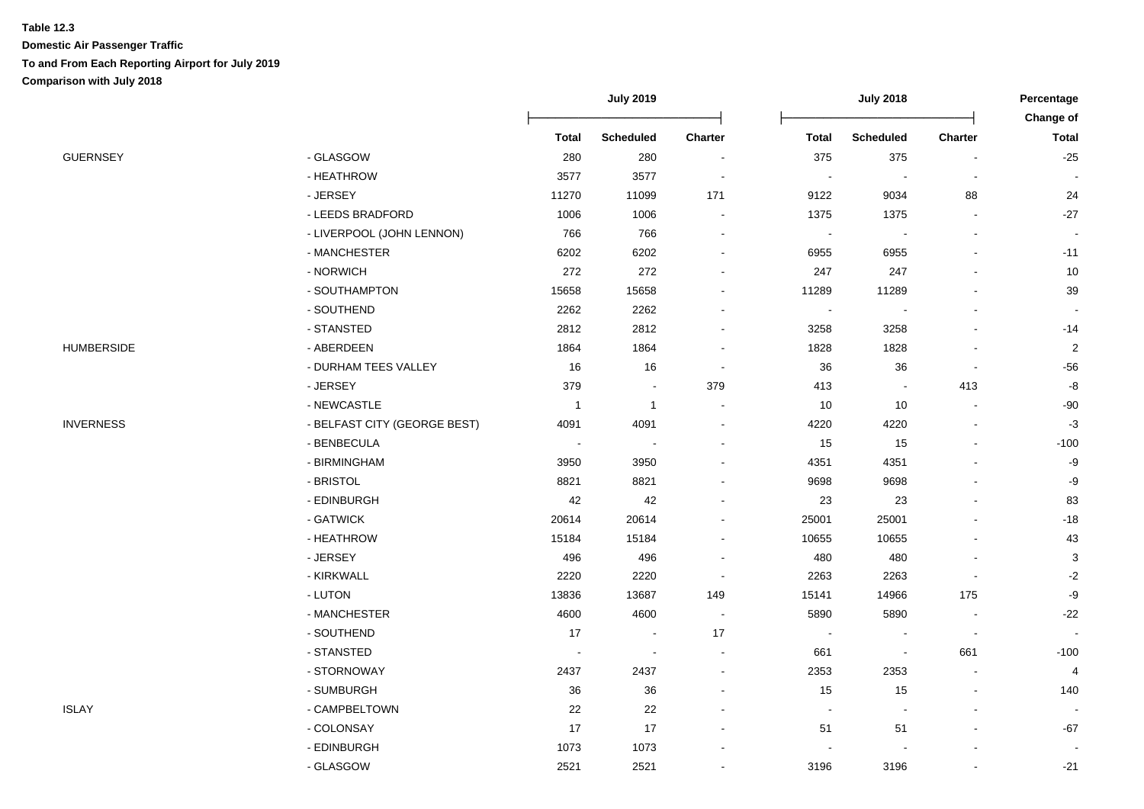|                   |                              | <b>July 2019</b>         |                  |                          |                          | Percentage               |                |                  |
|-------------------|------------------------------|--------------------------|------------------|--------------------------|--------------------------|--------------------------|----------------|------------------|
|                   |                              |                          |                  |                          |                          |                          |                | <b>Change of</b> |
|                   |                              | <b>Total</b>             | <b>Scheduled</b> | Charter                  | <b>Total</b>             | <b>Scheduled</b>         | Charter        | <b>Total</b>     |
| <b>GUERNSEY</b>   | - GLASGOW                    | 280                      | 280              | $\blacksquare$           | 375                      | 375                      |                | $-25$            |
|                   | - HEATHROW                   | 3577                     | 3577             |                          |                          |                          |                |                  |
|                   | - JERSEY                     | 11270                    | 11099            | 171                      | 9122                     | 9034                     | 88             | 24               |
|                   | - LEEDS BRADFORD             | 1006                     | 1006             | $\blacksquare$           | 1375                     | 1375                     |                | $-27$            |
|                   | - LIVERPOOL (JOHN LENNON)    | 766                      | 766              | $\blacksquare$           | $\overline{\phantom{a}}$ | $\overline{\phantom{a}}$ |                | $\sim$           |
|                   | - MANCHESTER                 | 6202                     | 6202             | $\blacksquare$           | 6955                     | 6955                     |                | $-11$            |
|                   | - NORWICH                    | 272                      | 272              | ۰                        | 247                      | 247                      |                | 10               |
|                   | - SOUTHAMPTON                | 15658                    | 15658            | $\blacksquare$           | 11289                    | 11289                    |                | 39               |
|                   | - SOUTHEND                   | 2262                     | 2262             |                          | $\overline{\phantom{a}}$ | $\blacksquare$           |                |                  |
|                   | - STANSTED                   | 2812                     | 2812             | $\blacksquare$           | 3258                     | 3258                     |                | $-14$            |
| <b>HUMBERSIDE</b> | - ABERDEEN                   | 1864                     | 1864             | $\blacksquare$           | 1828                     | 1828                     |                | $\overline{c}$   |
|                   | - DURHAM TEES VALLEY         | 16                       | 16               | $\sim$                   | 36                       | 36                       |                | $-56$            |
|                   | - JERSEY                     | 379                      |                  | 379                      | 413                      |                          | 413            | -8               |
|                   | - NEWCASTLE                  | $\mathbf{1}$             | $\mathbf{1}$     |                          | 10                       | 10                       |                | $-90$            |
| <b>INVERNESS</b>  | - BELFAST CITY (GEORGE BEST) | 4091                     | 4091             |                          | 4220                     | 4220                     |                | $-3$             |
|                   | - BENBECULA                  | $\overline{\phantom{a}}$ |                  | $\blacksquare$           | 15                       | 15                       |                | $-100$           |
|                   | - BIRMINGHAM                 | 3950                     | 3950             |                          | 4351                     | 4351                     |                | $-9$             |
|                   | - BRISTOL                    | 8821                     | 8821             |                          | 9698                     | 9698                     |                | -9               |
|                   | - EDINBURGH                  | 42                       | 42               |                          | 23                       | 23                       |                | 83               |
|                   | - GATWICK                    | 20614                    | 20614            |                          | 25001                    | 25001                    |                | $-18$            |
|                   | - HEATHROW                   | 15184                    | 15184            |                          | 10655                    | 10655                    |                | 43               |
|                   | - JERSEY                     | 496                      | 496              | $\overline{\phantom{a}}$ | 480                      | 480                      |                | $\sqrt{3}$       |
|                   | - KIRKWALL                   | 2220                     | 2220             | $\sim$                   | 2263                     | 2263                     |                | $-2$             |
|                   | - LUTON                      | 13836                    | 13687            | 149                      | 15141                    | 14966                    | 175            | -9               |
|                   | - MANCHESTER                 | 4600                     | 4600             | $\sim$                   | 5890                     | 5890                     |                | $-22$            |
|                   | - SOUTHEND                   | 17                       | $\sim$           | 17                       |                          |                          |                |                  |
|                   | - STANSTED                   | $\overline{\phantom{a}}$ | $\blacksquare$   | $\overline{a}$           | 661                      | $\overline{\phantom{a}}$ | 661            | $-100$           |
|                   | - STORNOWAY                  | 2437                     | 2437             | $\blacksquare$           | 2353                     | 2353                     | $\blacksquare$ | $\overline{4}$   |
|                   | - SUMBURGH                   | 36                       | 36               |                          | 15                       | 15                       |                | 140              |
| ISLAY             | - CAMPBELTOWN                | 22                       | 22               |                          | $\blacksquare$           | $\overline{a}$           |                |                  |
|                   | - COLONSAY                   | 17                       | 17               |                          | 51                       | 51                       |                | $-67$            |
|                   | - EDINBURGH                  | 1073                     | 1073             |                          |                          |                          |                |                  |
|                   | - GLASGOW                    | 2521                     | 2521             |                          | 3196                     | 3196                     |                | $-21$            |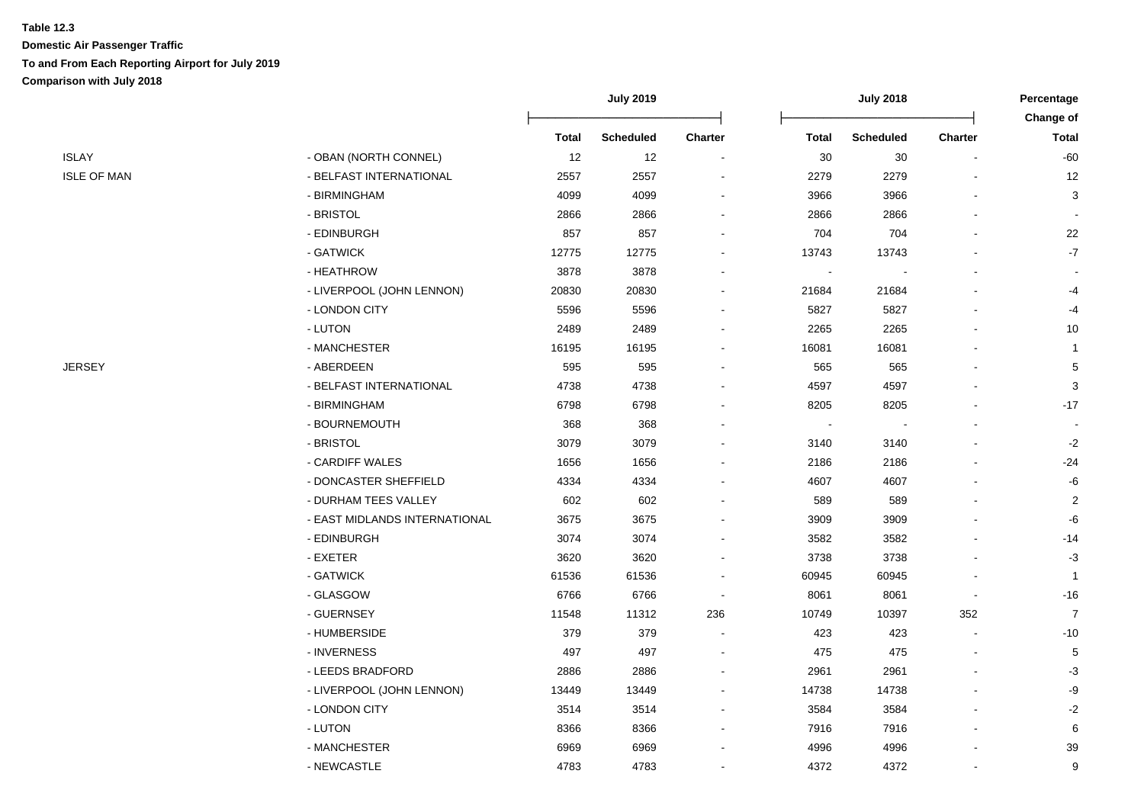|                    |                               | <b>July 2019</b> |                  | <b>July 2018</b>         |              |                  | Percentage<br>Change of |                |
|--------------------|-------------------------------|------------------|------------------|--------------------------|--------------|------------------|-------------------------|----------------|
|                    |                               | <b>Total</b>     | <b>Scheduled</b> | <b>Charter</b>           | <b>Total</b> | <b>Scheduled</b> | <b>Charter</b>          | <b>Total</b>   |
| <b>ISLAY</b>       | - OBAN (NORTH CONNEL)         | 12               | 12               | $\overline{\phantom{a}}$ | 30           | 30               |                         | $-60$          |
| <b>ISLE OF MAN</b> | - BELFAST INTERNATIONAL       | 2557             | 2557             | $\overline{a}$           | 2279         | 2279             |                         | 12             |
|                    | - BIRMINGHAM                  | 4099             | 4099             | $\overline{a}$           | 3966         | 3966             |                         | 3              |
|                    | - BRISTOL                     | 2866             | 2866             |                          | 2866         | 2866             |                         |                |
|                    | - EDINBURGH                   | 857              | 857              |                          | 704          | 704              |                         | 22             |
|                    | - GATWICK                     | 12775            | 12775            |                          | 13743        | 13743            |                         | $-7$           |
|                    | - HEATHROW                    | 3878             | 3878             |                          |              |                  |                         |                |
|                    | - LIVERPOOL (JOHN LENNON)     | 20830            | 20830            | $\blacksquare$           | 21684        | 21684            |                         | $-4$           |
|                    | - LONDON CITY                 | 5596             | 5596             |                          | 5827         | 5827             |                         | $-4$           |
|                    | - LUTON                       | 2489             | 2489             | $\overline{\phantom{a}}$ | 2265         | 2265             |                         | $10$           |
|                    | - MANCHESTER                  | 16195            | 16195            | $\overline{a}$           | 16081        | 16081            |                         | $\mathbf{1}$   |
| <b>JERSEY</b>      | - ABERDEEN                    | 595              | 595              | $\blacksquare$           | 565          | 565              |                         | $\,$ 5 $\,$    |
|                    | - BELFAST INTERNATIONAL       | 4738             | 4738             |                          | 4597         | 4597             |                         | 3              |
|                    | - BIRMINGHAM                  | 6798             | 6798             |                          | 8205         | 8205             |                         | $-17$          |
|                    | - BOURNEMOUTH                 | 368              | 368              |                          |              |                  |                         |                |
|                    | - BRISTOL                     | 3079             | 3079             |                          | 3140         | 3140             |                         | $-2$           |
|                    | - CARDIFF WALES               | 1656             | 1656             |                          | 2186         | 2186             |                         | $-24$          |
|                    | - DONCASTER SHEFFIELD         | 4334             | 4334             |                          | 4607         | 4607             |                         | -6             |
|                    | - DURHAM TEES VALLEY          | 602              | 602              |                          | 589          | 589              |                         | $\overline{c}$ |
|                    | - EAST MIDLANDS INTERNATIONAL | 3675             | 3675             |                          | 3909         | 3909             |                         | -6             |
|                    | - EDINBURGH                   | 3074             | 3074             |                          | 3582         | 3582             |                         | $-14$          |
|                    | - EXETER                      | 3620             | 3620             |                          | 3738         | 3738             |                         | $-3$           |
|                    | - GATWICK                     | 61536            | 61536            |                          | 60945        | 60945            |                         | $\overline{1}$ |
|                    | - GLASGOW                     | 6766             | 6766             |                          | 8061         | 8061             |                         | $-16$          |
|                    | - GUERNSEY                    | 11548            | 11312            | 236                      | 10749        | 10397            | 352                     | $\overline{7}$ |
|                    | - HUMBERSIDE                  | 379              | 379              | $\overline{\phantom{a}}$ | 423          | 423              | $\blacksquare$          | $-10$          |
|                    | - INVERNESS                   | 497              | 497              | $\sim$                   | 475          | 475              | $\sim$                  | $\sqrt{5}$     |
|                    | - LEEDS BRADFORD              | 2886             | 2886             | $\blacksquare$           | 2961         | 2961             |                         | $-3$           |
|                    | - LIVERPOOL (JOHN LENNON)     | 13449            | 13449            | $\overline{\phantom{a}}$ | 14738        | 14738            |                         | $-9$           |
|                    | - LONDON CITY                 | 3514             | 3514             | $\overline{\phantom{a}}$ | 3584         | 3584             |                         | $-2$           |
|                    | - LUTON                       | 8366             | 8366             | $\overline{\phantom{a}}$ | 7916         | 7916             |                         | 6              |
|                    | - MANCHESTER                  | 6969             | 6969             |                          | 4996         | 4996             |                         | 39             |
|                    | - NEWCASTLE                   | 4783             | 4783             |                          | 4372         | 4372             |                         | 9              |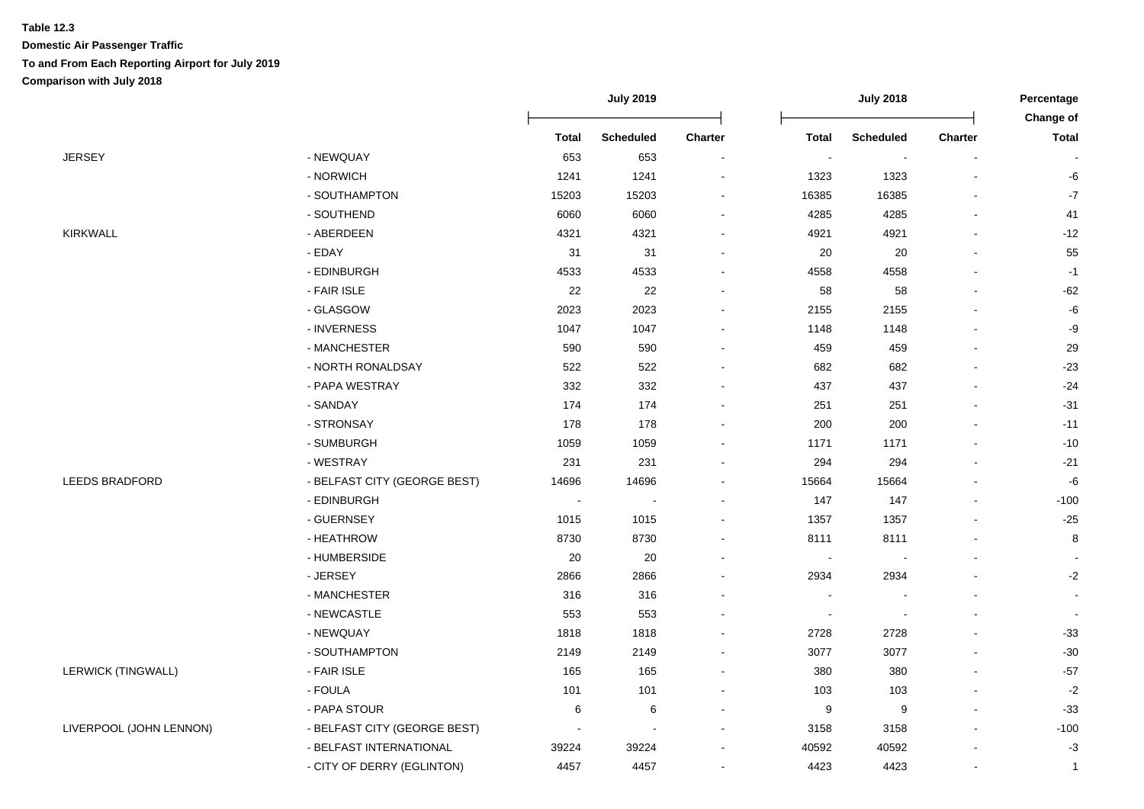|                           |                              | <b>July 2019</b> |                  | <b>July 2018</b>         |                          |                          | Percentage               |                           |
|---------------------------|------------------------------|------------------|------------------|--------------------------|--------------------------|--------------------------|--------------------------|---------------------------|
|                           |                              | <b>Total</b>     | <b>Scheduled</b> | <b>Charter</b>           | <b>Total</b>             | <b>Scheduled</b>         | <b>Charter</b>           | Change of<br><b>Total</b> |
| <b>JERSEY</b>             | - NEWQUAY                    | 653              | 653              | $\blacksquare$           | $\overline{\phantom{a}}$ | $\overline{\phantom{a}}$ |                          |                           |
|                           | - NORWICH                    | 1241             | 1241             | $\overline{\phantom{a}}$ | 1323                     | 1323                     | $\blacksquare$           | -6                        |
|                           | - SOUTHAMPTON                | 15203            | 15203            | $\blacksquare$           | 16385                    | 16385                    | $\overline{\phantom{a}}$ | $\mathbf{-7}$             |
|                           | - SOUTHEND                   | 6060             | 6060             | $\blacksquare$           | 4285                     | 4285                     |                          | 41                        |
| <b>KIRKWALL</b>           | - ABERDEEN                   | 4321             | 4321             |                          | 4921                     | 4921                     |                          | $-12$                     |
|                           | - EDAY                       | 31               | 31               |                          | 20                       | 20                       |                          | 55                        |
|                           | - EDINBURGH                  | 4533             | 4533             |                          | 4558                     | 4558                     |                          | $-1$                      |
|                           | - FAIR ISLE                  | $22\,$           | 22               |                          | 58                       | 58                       |                          | $-62$                     |
|                           | - GLASGOW                    | 2023             | 2023             | $\blacksquare$           | 2155                     | 2155                     |                          | $\textnormal{-}6$         |
|                           | - INVERNESS                  | 1047             | 1047             |                          | 1148                     | 1148                     |                          | -9                        |
|                           | - MANCHESTER                 | 590              | 590              |                          | 459                      | 459                      |                          | 29                        |
|                           | - NORTH RONALDSAY            | 522              | 522              | $\blacksquare$           | 682                      | 682                      |                          | $-23$                     |
|                           | - PAPA WESTRAY               | 332              | 332              | $\overline{\phantom{a}}$ | 437                      | 437                      |                          | $-24$                     |
|                           | - SANDAY                     | 174              | 174              | $\overline{\phantom{a}}$ | 251                      | 251                      |                          | $-31$                     |
|                           | - STRONSAY                   | 178              | 178              | $\blacksquare$           | 200                      | 200                      | $\overline{a}$           | $-11$                     |
|                           | - SUMBURGH                   | 1059             | 1059             |                          | 1171                     | 1171                     | ٠                        | $-10$                     |
|                           | - WESTRAY                    | 231              | 231              |                          | 294                      | 294                      |                          | $-21$                     |
| LEEDS BRADFORD            | - BELFAST CITY (GEORGE BEST) | 14696            | 14696            | $\blacksquare$           | 15664                    | 15664                    |                          | $-6\,$                    |
|                           | - EDINBURGH                  |                  |                  | $\blacksquare$           | 147                      | 147                      |                          | $-100$                    |
|                           | - GUERNSEY                   | 1015             | 1015             | $\blacksquare$           | 1357                     | 1357                     |                          | $-25$                     |
|                           | - HEATHROW                   | 8730             | 8730             | $\blacksquare$           | 8111                     | 8111                     |                          | 8                         |
|                           | - HUMBERSIDE                 | 20               | 20               |                          | $\overline{\phantom{a}}$ |                          |                          | $\overline{\phantom{a}}$  |
|                           | - JERSEY                     | 2866             | 2866             | $\blacksquare$           | 2934                     | 2934                     |                          | $-2$                      |
|                           | - MANCHESTER                 | 316              | 316              |                          |                          |                          |                          | $\blacksquare$            |
|                           | - NEWCASTLE                  | 553              | 553              |                          |                          |                          |                          | $\sim$                    |
|                           | - NEWQUAY                    | 1818             | 1818             | $\overline{\phantom{a}}$ | 2728                     | 2728                     |                          | $-33$                     |
|                           | - SOUTHAMPTON                | 2149             | 2149             | $\blacksquare$           | 3077                     | 3077                     |                          | $-30$                     |
| <b>LERWICK (TINGWALL)</b> | - FAIR ISLE                  | 165              | 165              | $\blacksquare$           | 380                      | 380                      | $\overline{\phantom{a}}$ | $-57$                     |
|                           | - FOULA                      | 101              | 101              |                          | 103                      | 103                      |                          | $-2$                      |
|                           | - PAPA STOUR                 | 6                | 6                |                          | $\boldsymbol{9}$         | $\boldsymbol{9}$         |                          | $-33$                     |
| LIVERPOOL (JOHN LENNON)   | - BELFAST CITY (GEORGE BEST) |                  |                  |                          | 3158                     | 3158                     |                          | $-100$                    |
|                           | - BELFAST INTERNATIONAL      | 39224            | 39224            |                          | 40592                    | 40592                    |                          | $-3$                      |
|                           | - CITY OF DERRY (EGLINTON)   | 4457             | 4457             |                          | 4423                     | 4423                     |                          | 1                         |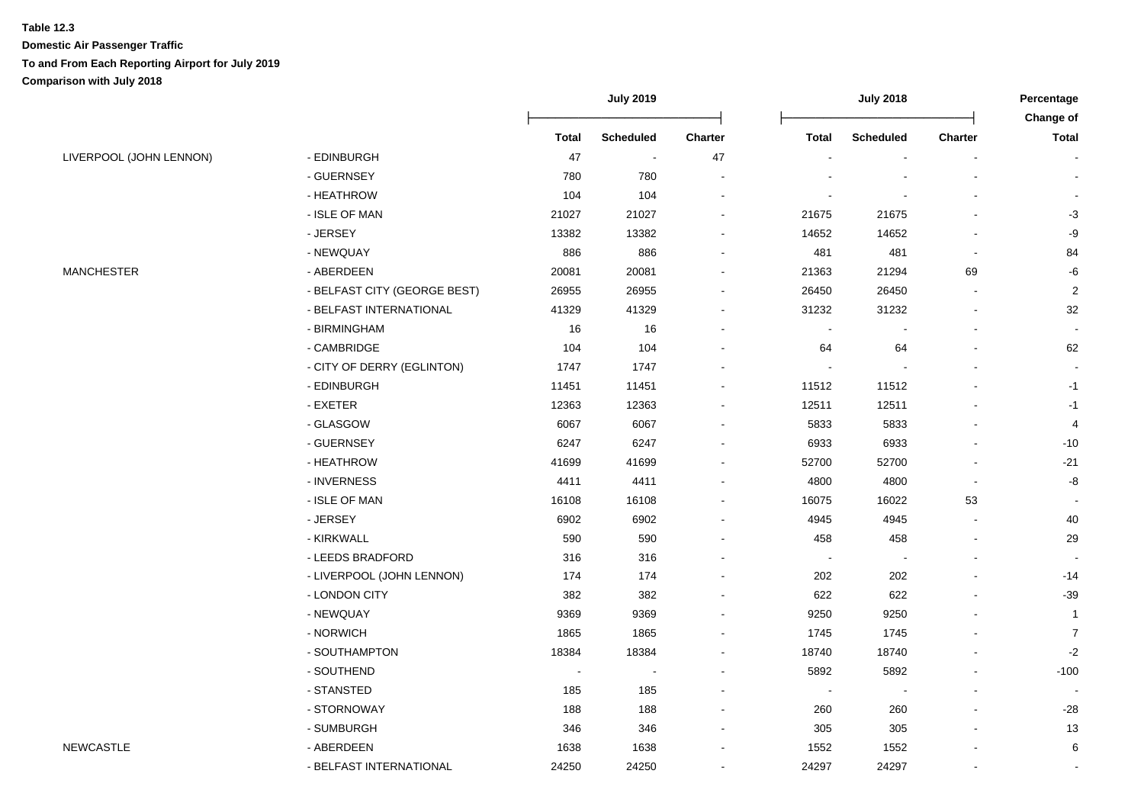|                         |                              | <b>July 2019</b> |                  |                | <b>July 2018</b>         |                  |                | Percentage<br>Change of |
|-------------------------|------------------------------|------------------|------------------|----------------|--------------------------|------------------|----------------|-------------------------|
|                         |                              | <b>Total</b>     | <b>Scheduled</b> | <b>Charter</b> | <b>Total</b>             | <b>Scheduled</b> | <b>Charter</b> | <b>Total</b>            |
| LIVERPOOL (JOHN LENNON) | - EDINBURGH                  | 47               | $\sim$           | 47             |                          | $\blacksquare$   |                |                         |
|                         | - GUERNSEY                   | 780              | 780              |                |                          |                  |                |                         |
|                         | - HEATHROW                   | 104              | 104              |                |                          |                  |                |                         |
|                         | - ISLE OF MAN                | 21027            | 21027            |                | 21675                    | 21675            |                | $-3$                    |
|                         | - JERSEY                     | 13382            | 13382            |                | 14652                    | 14652            |                | -9                      |
|                         | - NEWQUAY                    | 886              | 886              |                | 481                      | 481              |                | 84                      |
| <b>MANCHESTER</b>       | - ABERDEEN                   | 20081            | 20081            |                | 21363                    | 21294            | 69             | -6                      |
|                         | - BELFAST CITY (GEORGE BEST) | 26955            | 26955            |                | 26450                    | 26450            |                | $\overline{c}$          |
|                         | - BELFAST INTERNATIONAL      | 41329            | 41329            |                | 31232                    | 31232            |                | 32                      |
|                         | - BIRMINGHAM                 | 16               | 16               | $\blacksquare$ |                          |                  |                |                         |
|                         | - CAMBRIDGE                  | 104              | 104              | $\blacksquare$ | 64                       | 64               |                | 62                      |
|                         | - CITY OF DERRY (EGLINTON)   | 1747             | 1747             |                |                          |                  |                |                         |
|                         | - EDINBURGH                  | 11451            | 11451            |                | 11512                    | 11512            |                | $-1$                    |
|                         | - EXETER                     | 12363            | 12363            |                | 12511                    | 12511            |                | $-1$                    |
|                         | - GLASGOW                    | 6067             | 6067             |                | 5833                     | 5833             |                | 4                       |
|                         | - GUERNSEY                   | 6247             | 6247             |                | 6933                     | 6933             |                | $-10$                   |
|                         | - HEATHROW                   | 41699            | 41699            |                | 52700                    | 52700            |                | $-21$                   |
|                         | - INVERNESS                  | 4411             | 4411             |                | 4800                     | 4800             |                | -8                      |
|                         | - ISLE OF MAN                | 16108            | 16108            |                | 16075                    | 16022            | 53             |                         |
|                         | - JERSEY                     | 6902             | 6902             |                | 4945                     | 4945             |                | 40                      |
|                         | - KIRKWALL                   | 590              | 590              |                | 458                      | 458              |                | 29                      |
|                         | - LEEDS BRADFORD             | 316              | 316              |                | $\overline{\phantom{a}}$ | $\blacksquare$   |                |                         |
|                         | - LIVERPOOL (JOHN LENNON)    | 174              | 174              |                | 202                      | 202              |                | $-14$                   |
|                         | - LONDON CITY                | 382              | 382              |                | 622                      | 622              |                | $-39$                   |
|                         | - NEWQUAY                    | 9369             | 9369             |                | 9250                     | 9250             |                | $\overline{1}$          |
|                         | - NORWICH                    | 1865             | 1865             |                | 1745                     | 1745             |                | $\overline{7}$          |
|                         | - SOUTHAMPTON                | 18384            | 18384            |                | 18740                    | 18740            |                | $-2$                    |
|                         | - SOUTHEND                   | $\sim$           |                  |                | 5892                     | 5892             |                | $-100$                  |
|                         | - STANSTED                   | 185              | 185              |                |                          | $\blacksquare$   |                |                         |
|                         | - STORNOWAY                  | 188              | 188              |                | 260                      | 260              |                | $-28$                   |
|                         | - SUMBURGH                   | 346              | 346              | $\blacksquare$ | 305                      | 305              |                | 13                      |
| <b>NEWCASTLE</b>        | - ABERDEEN                   | 1638             | 1638             |                | 1552                     | 1552             |                | $\,6\,$                 |
|                         | - BELFAST INTERNATIONAL      | 24250            | 24250            |                | 24297                    | 24297            |                | $\blacksquare$          |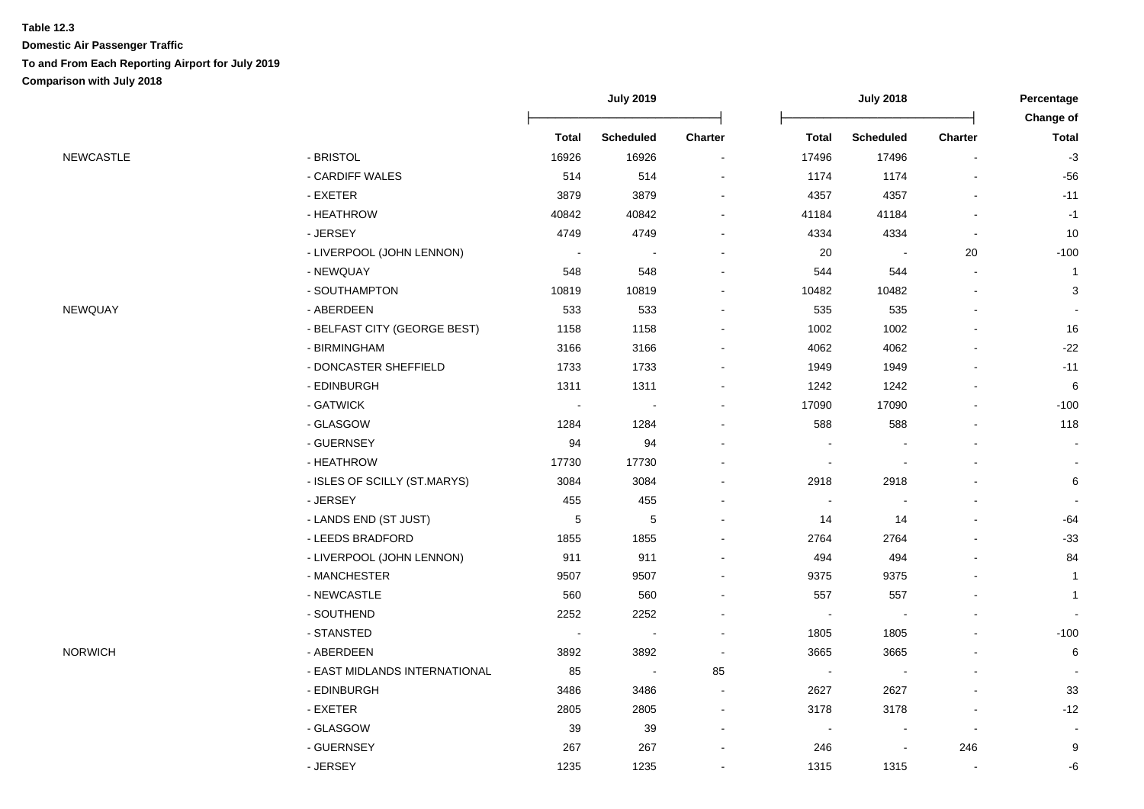|                  |                               | <b>July 2019</b>         |                  | <b>July 2018</b>         |                          |                          | Percentage<br>Change of  |              |
|------------------|-------------------------------|--------------------------|------------------|--------------------------|--------------------------|--------------------------|--------------------------|--------------|
|                  |                               | <b>Total</b>             | <b>Scheduled</b> | Charter                  | <b>Total</b>             | <b>Scheduled</b>         | <b>Charter</b>           | <b>Total</b> |
| <b>NEWCASTLE</b> | - BRISTOL                     | 16926                    | 16926            | $\blacksquare$           | 17496                    | 17496                    | $\overline{\phantom{a}}$ | $-3$         |
|                  | - CARDIFF WALES               | 514                      | 514              |                          | 1174                     | 1174                     |                          | $-56$        |
|                  | - EXETER                      | 3879                     | 3879             |                          | 4357                     | 4357                     |                          | $-11$        |
|                  | - HEATHROW                    | 40842                    | 40842            |                          | 41184                    | 41184                    |                          | $-1$         |
|                  | - JERSEY                      | 4749                     | 4749             |                          | 4334                     | 4334                     |                          | 10           |
|                  | - LIVERPOOL (JOHN LENNON)     | $\overline{\phantom{a}}$ |                  |                          | 20                       | $\overline{\phantom{a}}$ | 20                       | $-100$       |
|                  | - NEWQUAY                     | 548                      | 548              |                          | 544                      | 544                      |                          | $\mathbf{1}$ |
|                  | - SOUTHAMPTON                 | 10819                    | 10819            |                          | 10482                    | 10482                    |                          | 3            |
| NEWQUAY          | - ABERDEEN                    | 533                      | 533              |                          | 535                      | 535                      |                          |              |
|                  | - BELFAST CITY (GEORGE BEST)  | 1158                     | 1158             | ۰                        | 1002                     | 1002                     |                          | 16           |
|                  | - BIRMINGHAM                  | 3166                     | 3166             | $\overline{\phantom{0}}$ | 4062                     | 4062                     |                          | $-22$        |
|                  | - DONCASTER SHEFFIELD         | 1733                     | 1733             |                          | 1949                     | 1949                     |                          | $-11$        |
|                  | - EDINBURGH                   | 1311                     | 1311             |                          | 1242                     | 1242                     |                          | 6            |
|                  | - GATWICK                     | $\overline{\phantom{a}}$ |                  |                          | 17090                    | 17090                    |                          | $-100$       |
|                  | - GLASGOW                     | 1284                     | 1284             |                          | 588                      | 588                      |                          | 118          |
|                  | - GUERNSEY                    | 94                       | 94               |                          |                          |                          |                          |              |
|                  | - HEATHROW                    | 17730                    | 17730            |                          | $\overline{\phantom{a}}$ | $\overline{\phantom{a}}$ |                          |              |
|                  | - ISLES OF SCILLY (ST.MARYS)  | 3084                     | 3084             |                          | 2918                     | 2918                     |                          | 6            |
|                  | - JERSEY                      | 455                      | 455              |                          |                          |                          |                          |              |
|                  | - LANDS END (ST JUST)         | $\mathbf 5$              | 5                |                          | 14                       | 14                       |                          | $-64$        |
|                  | - LEEDS BRADFORD              | 1855                     | 1855             |                          | 2764                     | 2764                     |                          | $-33$        |
|                  | - LIVERPOOL (JOHN LENNON)     | 911                      | 911              |                          | 494                      | 494                      |                          | 84           |
|                  | - MANCHESTER                  | 9507                     | 9507             |                          | 9375                     | 9375                     |                          | $\mathbf{1}$ |
|                  | - NEWCASTLE                   | 560                      | 560              |                          | 557                      | 557                      |                          | $\mathbf{1}$ |
|                  | - SOUTHEND                    | 2252                     | 2252             |                          |                          | $\sim$                   |                          |              |
|                  | - STANSTED                    | $\overline{\phantom{a}}$ |                  |                          | 1805                     | 1805                     |                          | $-100$       |
| <b>NORWICH</b>   | - ABERDEEN                    | 3892                     | 3892             | $\blacksquare$           | 3665                     | 3665                     |                          | 6            |
|                  | - EAST MIDLANDS INTERNATIONAL | 85                       | $\blacksquare$   | 85                       | $\blacksquare$           |                          |                          |              |
|                  | - EDINBURGH                   | 3486                     | 3486             | $\sim$                   | 2627                     | 2627                     |                          | 33           |
|                  | - EXETER                      | 2805                     | 2805             | $\blacksquare$           | 3178                     | 3178                     |                          | $-12$        |
|                  | - GLASGOW                     | 39                       | 39               | $\sim$                   | $\blacksquare$           | $\sim$                   | $\sim$                   |              |
|                  | - GUERNSEY                    | 267                      | 267              |                          | 246                      |                          | 246                      | 9            |
|                  | - JERSEY                      | 1235                     | 1235             |                          | 1315                     | 1315                     | $\blacksquare$           | $-6$         |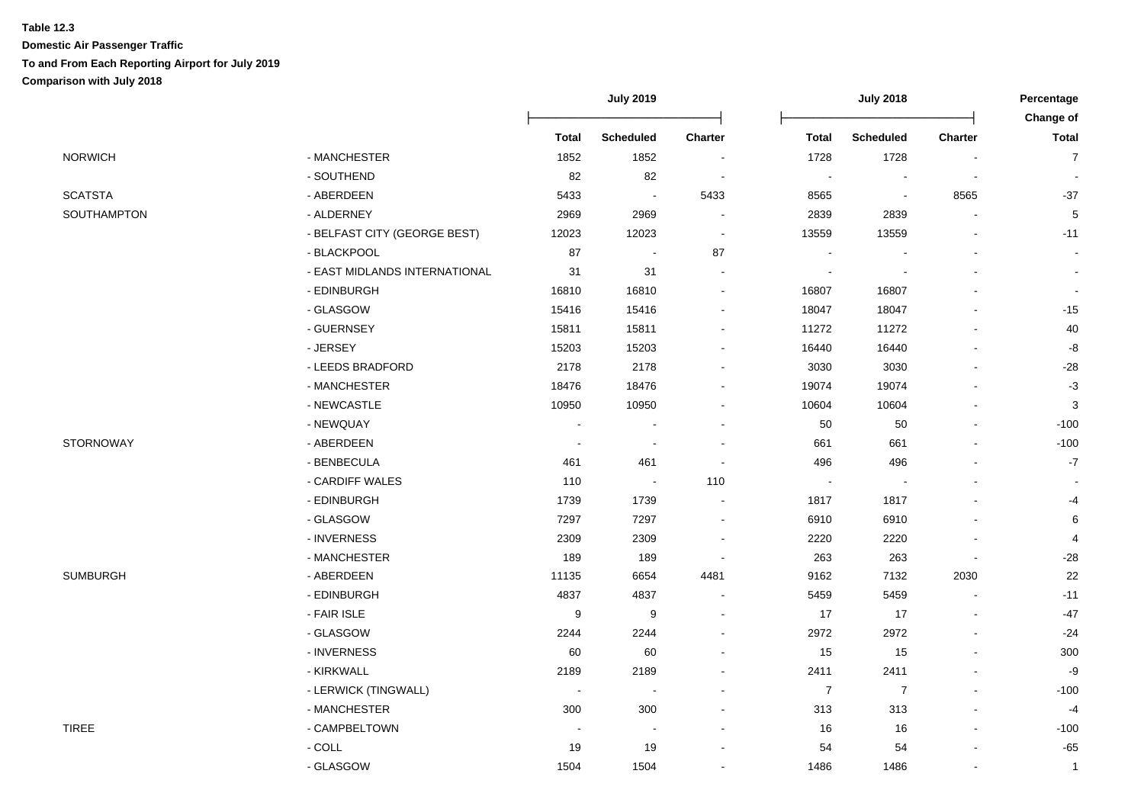|                |                               | <b>July 2019</b>         |                          |                          | <b>July 2018</b> |                  |           | Percentage<br>Change of |
|----------------|-------------------------------|--------------------------|--------------------------|--------------------------|------------------|------------------|-----------|-------------------------|
|                |                               | <b>Total</b>             | <b>Scheduled</b>         | Charter                  | <b>Total</b>     | <b>Scheduled</b> | Charter   | <b>Total</b>            |
| <b>NORWICH</b> | - MANCHESTER                  | 1852                     | 1852                     | $\overline{\phantom{a}}$ | 1728             | 1728             |           | $\overline{7}$          |
|                | - SOUTHEND                    | 82                       | 82                       | $\sim$                   | $\sim$           | $\blacksquare$   |           |                         |
| <b>SCATSTA</b> | - ABERDEEN                    | 5433                     | $\blacksquare$           | 5433                     | 8565             | $\sim$           | 8565      | $-37$                   |
| SOUTHAMPTON    | - ALDERNEY                    | 2969                     | 2969                     |                          | 2839             | 2839             |           | 5                       |
|                | - BELFAST CITY (GEORGE BEST)  | 12023                    | 12023                    |                          | 13559            | 13559            |           | $-11$                   |
|                | - BLACKPOOL                   | 87                       |                          | 87                       |                  |                  |           |                         |
|                | - EAST MIDLANDS INTERNATIONAL | 31                       | 31                       |                          |                  |                  |           |                         |
|                | - EDINBURGH                   | 16810                    | 16810                    |                          | 16807            | 16807            |           |                         |
|                | - GLASGOW                     | 15416                    | 15416                    |                          | 18047            | 18047            |           | $-15$                   |
|                | - GUERNSEY                    | 15811                    | 15811                    |                          | 11272            | 11272            |           | 40                      |
|                | - JERSEY                      | 15203                    | 15203                    |                          | 16440            | 16440            |           | -8                      |
|                | - LEEDS BRADFORD              | 2178                     | 2178                     |                          | 3030             | 3030             |           | $-28$                   |
|                | - MANCHESTER                  | 18476                    | 18476                    |                          | 19074            | 19074            |           | $-3$                    |
|                | - NEWCASTLE                   | 10950                    | 10950                    |                          | 10604            | 10604            |           | $\sqrt{3}$              |
|                | - NEWQUAY                     | $\overline{\phantom{a}}$ | $\overline{\phantom{a}}$ |                          | 50               | 50               | $\bullet$ | $-100$                  |
| STORNOWAY      | - ABERDEEN                    | $\overline{\phantom{a}}$ |                          |                          | 661              | 661              |           | $-100$                  |
|                | - BENBECULA                   | 461                      | 461                      |                          | 496              | 496              |           | $-7$                    |
|                | - CARDIFF WALES               | 110                      | $\overline{\phantom{a}}$ | 110                      |                  |                  |           |                         |
|                | - EDINBURGH                   | 1739                     | 1739                     |                          | 1817             | 1817             |           | -4                      |
|                | - GLASGOW                     | 7297                     | 7297                     |                          | 6910             | 6910             |           | 6                       |
|                | - INVERNESS                   | 2309                     | 2309                     |                          | 2220             | 2220             |           | 4                       |
|                | - MANCHESTER                  | 189                      | 189                      |                          | 263              | 263              |           | $-28$                   |
| SUMBURGH       | - ABERDEEN                    | 11135                    | 6654                     | 4481                     | 9162             | 7132             | 2030      | 22                      |
|                | - EDINBURGH                   | 4837                     | 4837                     |                          | 5459             | 5459             |           | $-11$                   |
|                | - FAIR ISLE                   | 9                        | 9                        |                          | 17               | 17               |           | $-47$                   |
|                | - GLASGOW                     | 2244                     | 2244                     |                          | 2972             | 2972             |           | $-24$                   |
|                | - INVERNESS                   | 60                       | 60                       |                          | 15               | 15               |           | 300                     |
|                | - KIRKWALL                    | 2189                     | 2189                     |                          | 2411             | 2411             |           | -9                      |
|                | - LERWICK (TINGWALL)          | $\sim$                   | $\sim$                   |                          | $\overline{7}$   | $\overline{7}$   |           | $-100$                  |
|                | - MANCHESTER                  | 300                      | 300                      |                          | 313              | 313              |           | $-4$                    |
| <b>TIREE</b>   | - CAMPBELTOWN                 |                          |                          |                          | 16               | 16               |           | $-100$                  |
|                | $-COLL$                       | 19                       | 19                       |                          | 54               | 54               |           | $-65$                   |
|                | - GLASGOW                     | 1504                     | 1504                     |                          | 1486             | 1486             |           | $\overline{1}$          |
|                |                               |                          |                          |                          |                  |                  |           |                         |